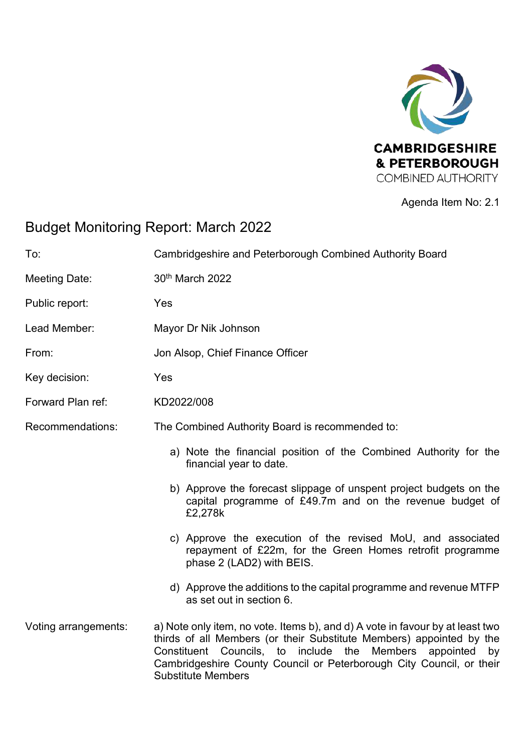

### Agenda Item No: 2.1

# Budget Monitoring Report: March 2022

| To:                  | Cambridgeshire and Peterborough Combined Authority Board                                                                                                                                                                                                                                                                         |  |  |  |  |  |  |  |
|----------------------|----------------------------------------------------------------------------------------------------------------------------------------------------------------------------------------------------------------------------------------------------------------------------------------------------------------------------------|--|--|--|--|--|--|--|
| <b>Meeting Date:</b> | 30th March 2022                                                                                                                                                                                                                                                                                                                  |  |  |  |  |  |  |  |
| Public report:       | Yes                                                                                                                                                                                                                                                                                                                              |  |  |  |  |  |  |  |
| Lead Member:         | Mayor Dr Nik Johnson                                                                                                                                                                                                                                                                                                             |  |  |  |  |  |  |  |
| From:                | Jon Alsop, Chief Finance Officer                                                                                                                                                                                                                                                                                                 |  |  |  |  |  |  |  |
| Key decision:        | Yes                                                                                                                                                                                                                                                                                                                              |  |  |  |  |  |  |  |
| Forward Plan ref:    | KD2022/008                                                                                                                                                                                                                                                                                                                       |  |  |  |  |  |  |  |
| Recommendations:     | The Combined Authority Board is recommended to:                                                                                                                                                                                                                                                                                  |  |  |  |  |  |  |  |
|                      | a) Note the financial position of the Combined Authority for the<br>financial year to date.                                                                                                                                                                                                                                      |  |  |  |  |  |  |  |
|                      | b) Approve the forecast slippage of unspent project budgets on the<br>capital programme of £49.7m and on the revenue budget of<br>£2,278k                                                                                                                                                                                        |  |  |  |  |  |  |  |
|                      | c) Approve the execution of the revised MoU, and associated<br>repayment of £22m, for the Green Homes retrofit programme<br>phase 2 (LAD2) with BEIS.                                                                                                                                                                            |  |  |  |  |  |  |  |
|                      | d) Approve the additions to the capital programme and revenue MTFP<br>as set out in section 6.                                                                                                                                                                                                                                   |  |  |  |  |  |  |  |
| Voting arrangements: | a) Note only item, no vote. Items b), and d) A vote in favour by at least two<br>thirds of all Members (or their Substitute Members) appointed by the<br>Constituent Councils, to include the<br>Members<br>appointed<br>by<br>Cambridgeshire County Council or Peterborough City Council, or their<br><b>Substitute Members</b> |  |  |  |  |  |  |  |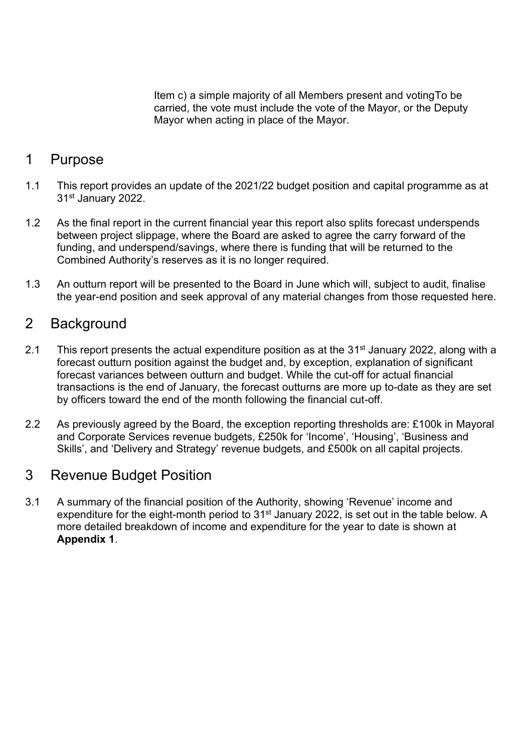Item c) a simple majority of all Members present and votingTo be carried, the vote must include the vote of the Mayor, or the Deputy Mayor when acting in place of the Mayor.

## 1 Purpose

- 1.1 This report provides an update of the 2021/22 budget position and capital programme as at 31st January 2022.
- 1.2 As the final report in the current financial year this report also splits forecast underspends between project slippage, where the Board are asked to agree the carry forward of the funding, and underspend/savings, where there is funding that will be returned to the Combined Authority's reserves as it is no longer required.
- 1.3 An outturn report will be presented to the Board in June which will, subject to audit, finalise the year-end position and seek approval of any material changes from those requested here.

### 2 Background

- 2.1 This report presents the actual expenditure position as at the  $31<sup>st</sup>$  January 2022, along with a forecast outturn position against the budget and, by exception, explanation of significant forecast variances between outturn and budget. While the cut-off for actual financial transactions is the end of January, the forecast outturns are more up to-date as they are set by officers toward the end of the month following the financial cut-off.
- 2.2 As previously agreed by the Board, the exception reporting thresholds are: £100k in Mayoral and Corporate Services revenue budgets, £250k for 'Income', 'Housing', 'Business and Skills', and 'Delivery and Strategy' revenue budgets, and £500k on all capital projects.

## 3 Revenue Budget Position

<span id="page-1-0"></span>3.1 A summary of the financial position of the Authority, showing 'Revenue' income and expenditure for the eight-month period to 31<sup>st</sup> January 2022, is set out in the table below. A more detailed breakdown of income and expenditure for the year to date is shown at **Appendix 1**.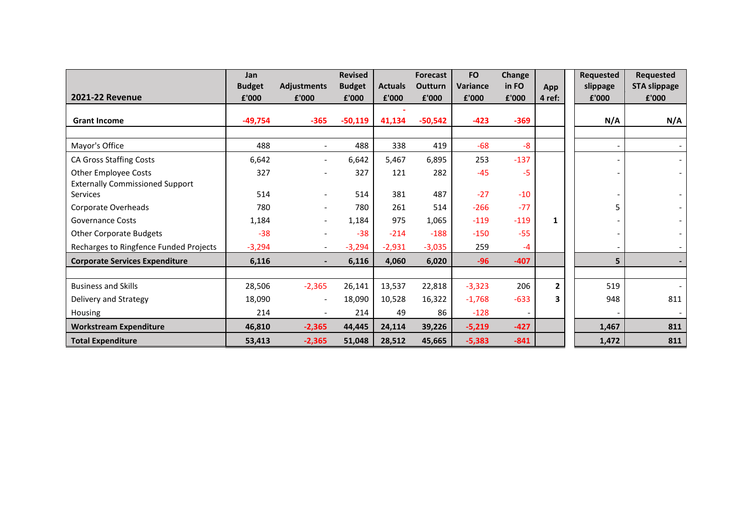| <b>2021-22 Revenue</b>                                                | Jan<br><b>Budget</b><br>£'000 | <b>Adjustments</b><br>£'000 | <b>Revised</b><br><b>Budget</b><br>£'000 | <b>Actuals</b><br>£'000 | <b>Forecast</b><br><b>Outturn</b><br>£'000 | <b>FO</b><br><b>Variance</b><br>£'000 | Change<br>in FO<br>£'000 | App<br>4 ref:  | <b>Requested</b><br>slippage<br>£'000 | <b>Requested</b><br><b>STA slippage</b><br>£'000 |
|-----------------------------------------------------------------------|-------------------------------|-----------------------------|------------------------------------------|-------------------------|--------------------------------------------|---------------------------------------|--------------------------|----------------|---------------------------------------|--------------------------------------------------|
| <b>Grant Income</b>                                                   | $-49,754$                     | $-365$                      | $-50,119$                                | 41,134                  | $-50,542$                                  | $-423$                                | $-369$                   |                | N/A                                   | N/A                                              |
| Mayor's Office                                                        | 488                           |                             | 488                                      | 338                     | 419                                        | $-68$                                 | $-8$                     |                |                                       |                                                  |
| <b>CA Gross Staffing Costs</b>                                        | 6,642                         | $\overline{\phantom{a}}$    | 6,642                                    | 5,467                   | 6,895                                      | 253                                   | $-137$                   |                |                                       |                                                  |
| <b>Other Employee Costs</b><br><b>Externally Commissioned Support</b> | 327                           |                             | 327                                      | 121                     | 282                                        | $-45$                                 | -5                       |                |                                       |                                                  |
| <b>Services</b>                                                       | 514                           |                             | 514                                      | 381                     | 487                                        | $-27$                                 | $-10$                    |                |                                       |                                                  |
| Corporate Overheads                                                   | 780                           |                             | 780                                      | 261                     | 514                                        | $-266$                                | $-77$                    |                | 5                                     |                                                  |
| <b>Governance Costs</b>                                               | 1,184                         |                             | 1,184                                    | 975                     | 1,065                                      | $-119$                                | $-119$                   | $\mathbf{1}$   |                                       |                                                  |
| <b>Other Corporate Budgets</b>                                        | $-38$                         |                             | $-38$                                    | $-214$                  | $-188$                                     | $-150$                                | $-55$                    |                |                                       |                                                  |
| Recharges to Ringfence Funded Projects                                | $-3,294$                      |                             | $-3,294$                                 | $-2,931$                | $-3,035$                                   | 259                                   | $-4$                     |                |                                       |                                                  |
| <b>Corporate Services Expenditure</b>                                 | 6,116                         | $\overline{\phantom{a}}$    | 6,116                                    | 4,060                   | 6,020                                      | $-96$                                 | $-407$                   |                | 5                                     |                                                  |
|                                                                       |                               |                             |                                          |                         |                                            |                                       |                          |                |                                       |                                                  |
| <b>Business and Skills</b>                                            | 28,506                        | $-2,365$                    | 26,141                                   | 13,537                  | 22,818                                     | $-3,323$                              | 206                      | $\overline{2}$ | 519                                   |                                                  |
| Delivery and Strategy                                                 | 18,090                        | $\overline{\phantom{a}}$    | 18,090                                   | 10,528                  | 16,322                                     | $-1,768$                              | $-633$                   | 3              | 948                                   | 811                                              |
| Housing                                                               | 214                           |                             | 214                                      | 49                      | 86                                         | $-128$                                |                          |                |                                       |                                                  |
| <b>Workstream Expenditure</b>                                         | 46,810                        | $-2,365$                    | 44,445                                   | 24,114                  | 39,226                                     | $-5,219$                              | $-427$                   |                | 1,467                                 | 811                                              |
| <b>Total Expenditure</b>                                              | 53,413                        | $-2,365$                    | 51,048                                   | 28,512                  | 45,665                                     | $-5,383$                              | $-841$                   |                | 1,472                                 | 811                                              |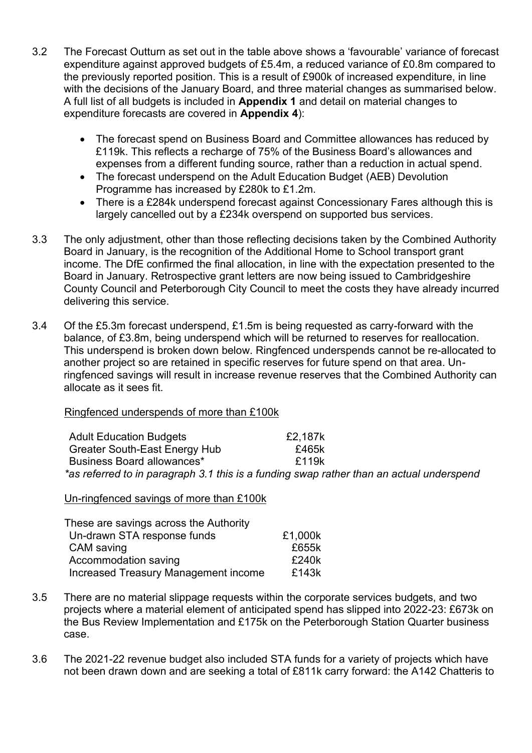- 3.2 The Forecast Outturn as set out in the table above shows a 'favourable' variance of forecast expenditure against approved budgets of £5.4m, a reduced variance of £0.8m compared to the previously reported position. This is a result of £900k of increased expenditure, in line with the decisions of the January Board, and three material changes as summarised below. A full list of all budgets is included in **Appendix 1** and detail on material changes to expenditure forecasts are covered in **Appendix 4**):
	- The forecast spend on Business Board and Committee allowances has reduced by £119k. This reflects a recharge of 75% of the Business Board's allowances and expenses from a different funding source, rather than a reduction in actual spend.
	- The forecast underspend on the Adult Education Budget (AEB) Devolution Programme has increased by £280k to £1.2m.
	- There is a £284k underspend forecast against Concessionary Fares although this is largely cancelled out by a £234k overspend on supported bus services.
- 3.3 The only adjustment, other than those reflecting decisions taken by the Combined Authority Board in January, is the recognition of the Additional Home to School transport grant income. The DfE confirmed the final allocation, in line with the expectation presented to the Board in January. Retrospective grant letters are now being issued to Cambridgeshire County Council and Peterborough City Council to meet the costs they have already incurred delivering this service.
- 3.4 Of the £5.3m forecast underspend, £1.5m is being requested as carry-forward with the balance, of £3.8m, being underspend which will be returned to reserves for reallocation. This underspend is broken down below. Ringfenced underspends cannot be re-allocated to another project so are retained in specific reserves for future spend on that area. Unringfenced savings will result in increase revenue reserves that the Combined Authority can allocate as it sees fit.

#### Ringfenced underspends of more than £100k

| <b>Adult Education Budgets</b>    | £2,187k                                                                                  |  |
|-----------------------------------|------------------------------------------------------------------------------------------|--|
| Greater South-East Energy Hub     | £465k                                                                                    |  |
| <b>Business Board allowances*</b> | f119k                                                                                    |  |
|                                   | *as referred to in paragraph 3.1 this is a funding swap rather than an actual underspend |  |

Un-ringfenced savings of more than £100k

| These are savings across the Authority |         |
|----------------------------------------|---------|
| Un-drawn STA response funds            | £1,000k |
| <b>CAM</b> saving                      | £655k   |
| Accommodation saving                   | £240k   |
| Increased Treasury Management income   | £143k   |

- 3.5 There are no material slippage requests within the corporate services budgets, and two projects where a material element of anticipated spend has slipped into 2022-23: £673k on the Bus Review Implementation and £175k on the Peterborough Station Quarter business case.
- 3.6 The 2021-22 revenue budget also included STA funds for a variety of projects which have not been drawn down and are seeking a total of £811k carry forward: the A142 Chatteris to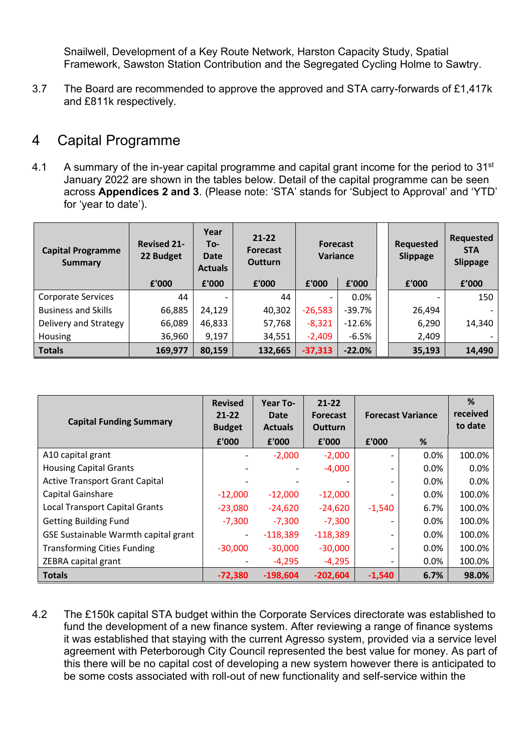Snailwell, Development of a Key Route Network, Harston Capacity Study, Spatial Framework, Sawston Station Contribution and the Segregated Cycling Holme to Sawtry.

3.7 The Board are recommended to approve the approved and STA carry-forwards of £1,417k and £811k respectively.

## 4 Capital Programme

4.1 A summary of the in-year capital programme and capital grant income for the period to  $31<sup>st</sup>$ January 2022 are shown in the tables below. Detail of the capital programme can be seen across **Appendices 2 and 3**. (Please note: 'STA' stands for 'Subject to Approval' and 'YTD' for 'year to date').

| <b>Capital Programme</b><br><b>Summary</b> | <b>Revised 21-</b><br>22 Budget | Year<br>To-<br><b>Date</b><br><b>Actuals</b> | $21 - 22$<br><b>Forecast</b><br><b>Outturn</b> |           | <b>Forecast</b><br>Variance |  | <b>Requested</b><br><b>Slippage</b> | <b>Requested</b><br><b>STA</b><br><b>Slippage</b> |
|--------------------------------------------|---------------------------------|----------------------------------------------|------------------------------------------------|-----------|-----------------------------|--|-------------------------------------|---------------------------------------------------|
|                                            | £'000                           | £'000                                        | £'000                                          | £'000     | £'000                       |  | £'000                               | f'000                                             |
| <b>Corporate Services</b>                  | 44                              |                                              | 44                                             |           | $0.0\%$                     |  | $\overline{\phantom{0}}$            | 150                                               |
| <b>Business and Skills</b>                 | 66,885                          | 24,129                                       | 40,302                                         | $-26,583$ | $-39.7%$                    |  | 26,494                              |                                                   |
| Delivery and Strategy                      | 66,089                          | 46,833                                       | 57,768                                         | $-8,321$  | $-12.6%$                    |  | 6,290                               | 14,340                                            |
| Housing                                    | 36,960                          | 9,197                                        | 34,551                                         | $-2,409$  | $-6.5%$                     |  | 2,409                               |                                                   |
| <b>Totals</b>                              | 169,977                         | 80,159                                       | 132,665                                        | $-37,313$ | $-22.0%$                    |  | 35,193                              | 14,490                                            |

| <b>Capital Funding Summary</b>        | <b>Revised</b><br>$21 - 22$<br><b>Budget</b> | Year To-<br>Date<br><b>Actuals</b> | $21 - 22$<br><b>Forecast</b><br><b>Outturn</b> |                          | <b>Forecast Variance</b> |        |
|---------------------------------------|----------------------------------------------|------------------------------------|------------------------------------------------|--------------------------|--------------------------|--------|
|                                       | £'000                                        | £'000                              | £'000                                          | £'000                    | %                        |        |
| A10 capital grant                     |                                              | $-2,000$                           | $-2,000$                                       | $\overline{\phantom{0}}$ | 0.0%                     | 100.0% |
| <b>Housing Capital Grants</b>         |                                              |                                    | $-4,000$                                       |                          | $0.0\%$                  | 0.0%   |
| <b>Active Transport Grant Capital</b> |                                              |                                    |                                                |                          | 0.0%                     | 0.0%   |
| Capital Gainshare                     | $-12,000$                                    | $-12,000$                          | $-12,000$                                      |                          | 0.0%                     | 100.0% |
| <b>Local Transport Capital Grants</b> | $-23,080$                                    | $-24,620$                          | $-24,620$                                      | $-1,540$                 | 6.7%                     | 100.0% |
| <b>Getting Building Fund</b>          | $-7,300$                                     | $-7,300$                           | $-7,300$                                       |                          | 0.0%                     | 100.0% |
| GSE Sustainable Warmth capital grant  | -                                            | $-118,389$                         | $-118,389$                                     |                          | 0.0%                     | 100.0% |
| <b>Transforming Cities Funding</b>    | $-30,000$                                    | $-30,000$                          | $-30,000$                                      | -                        | 0.0%                     | 100.0% |
| ZEBRA capital grant                   |                                              | $-4,295$                           | $-4,295$                                       | -                        | 0.0%                     | 100.0% |
| <b>Totals</b>                         | $-72,380$                                    | $-198,604$                         | $-202,604$                                     | $-1,540$                 | 6.7%                     | 98.0%  |

4.2 The £150k capital STA budget within the Corporate Services directorate was established to fund the development of a new finance system. After reviewing a range of finance systems it was established that staying with the current Agresso system, provided via a service level agreement with Peterborough City Council represented the best value for money. As part of this there will be no capital cost of developing a new system however there is anticipated to be some costs associated with roll-out of new functionality and self-service within the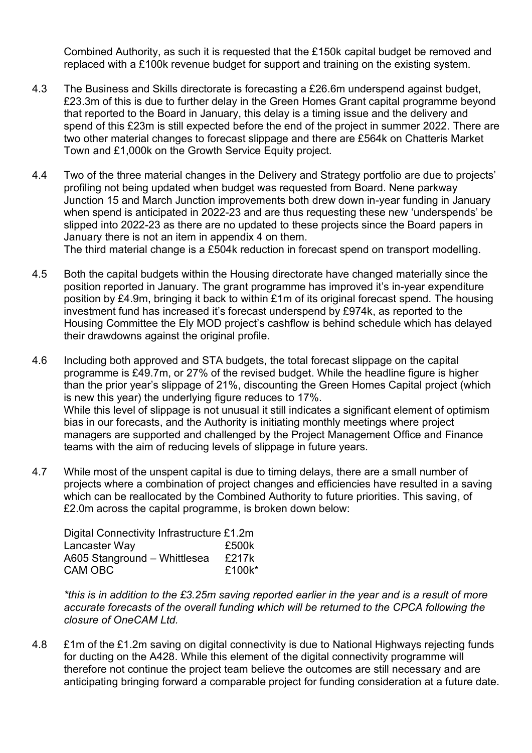Combined Authority, as such it is requested that the £150k capital budget be removed and replaced with a £100k revenue budget for support and training on the existing system.

- 4.3 The Business and Skills directorate is forecasting a £26.6m underspend against budget, £23.3m of this is due to further delay in the Green Homes Grant capital programme beyond that reported to the Board in January, this delay is a timing issue and the delivery and spend of this £23m is still expected before the end of the project in summer 2022. There are two other material changes to forecast slippage and there are £564k on Chatteris Market Town and £1,000k on the Growth Service Equity project.
- 4.4 Two of the three material changes in the Delivery and Strategy portfolio are due to projects' profiling not being updated when budget was requested from Board. Nene parkway Junction 15 and March Junction improvements both drew down in-year funding in January when spend is anticipated in 2022-23 and are thus requesting these new 'underspends' be slipped into 2022-23 as there are no updated to these projects since the Board papers in January there is not an item in appendix 4 on them.

The third material change is a £504k reduction in forecast spend on transport modelling.

- 4.5 Both the capital budgets within the Housing directorate have changed materially since the position reported in January. The grant programme has improved it's in-year expenditure position by £4.9m, bringing it back to within £1m of its original forecast spend. The housing investment fund has increased it's forecast underspend by £974k, as reported to the Housing Committee the Ely MOD project's cashflow is behind schedule which has delayed their drawdowns against the original profile.
- 4.6 Including both approved and STA budgets, the total forecast slippage on the capital programme is £49.7m, or 27% of the revised budget. While the headline figure is higher than the prior year's slippage of 21%, discounting the Green Homes Capital project (which is new this year) the underlying figure reduces to 17%. While this level of slippage is not unusual it still indicates a significant element of optimism bias in our forecasts, and the Authority is initiating monthly meetings where project managers are supported and challenged by the Project Management Office and Finance teams with the aim of reducing levels of slippage in future years.
- 4.7 While most of the unspent capital is due to timing delays, there are a small number of projects where a combination of project changes and efficiencies have resulted in a saving which can be reallocated by the Combined Authority to future priorities. This saving, of £2.0m across the capital programme, is broken down below:

| Digital Connectivity Infrastructure £1.2m |        |
|-------------------------------------------|--------|
| Lancaster Way                             | £500k  |
| A605 Stanground – Whittlesea              | £217k  |
| CAM OBC                                   | £100k* |

*\*this is in addition to the £3.25m saving reported earlier in the year and is a result of more accurate forecasts of the overall funding which will be returned to the CPCA following the closure of OneCAM Ltd.* 

4.8 £1m of the £1.2m saving on digital connectivity is due to National Highways rejecting funds for ducting on the A428. While this element of the digital connectivity programme will therefore not continue the project team believe the outcomes are still necessary and are anticipating bringing forward a comparable project for funding consideration at a future date.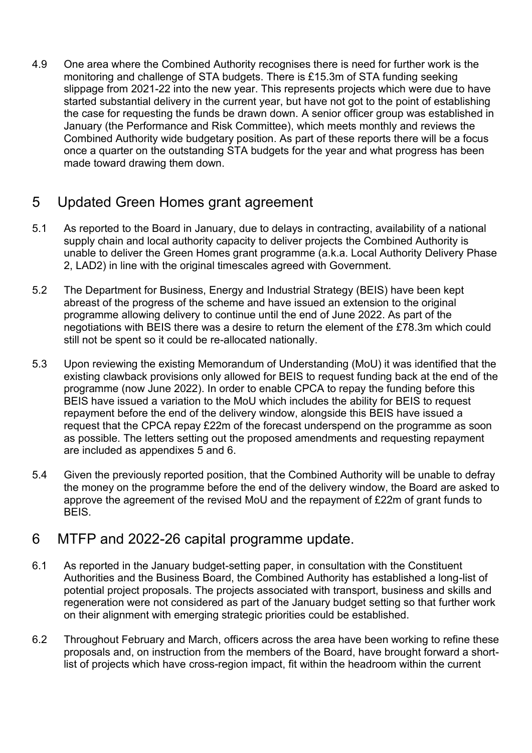4.9 One area where the Combined Authority recognises there is need for further work is the monitoring and challenge of STA budgets. There is £15.3m of STA funding seeking slippage from 2021-22 into the new year. This represents projects which were due to have started substantial delivery in the current year, but have not got to the point of establishing the case for requesting the funds be drawn down. A senior officer group was established in January (the Performance and Risk Committee), which meets monthly and reviews the Combined Authority wide budgetary position. As part of these reports there will be a focus once a quarter on the outstanding STA budgets for the year and what progress has been made toward drawing them down.

## 5 Updated Green Homes grant agreement

- 5.1 As reported to the Board in January, due to delays in contracting, availability of a national supply chain and local authority capacity to deliver projects the Combined Authority is unable to deliver the Green Homes grant programme (a.k.a. Local Authority Delivery Phase 2, LAD2) in line with the original timescales agreed with Government.
- 5.2 The Department for Business, Energy and Industrial Strategy (BEIS) have been kept abreast of the progress of the scheme and have issued an extension to the original programme allowing delivery to continue until the end of June 2022. As part of the negotiations with BEIS there was a desire to return the element of the £78.3m which could still not be spent so it could be re-allocated nationally.
- 5.3 Upon reviewing the existing Memorandum of Understanding (MoU) it was identified that the existing clawback provisions only allowed for BEIS to request funding back at the end of the programme (now June 2022). In order to enable CPCA to repay the funding before this BEIS have issued a variation to the MoU which includes the ability for BEIS to request repayment before the end of the delivery window, alongside this BEIS have issued a request that the CPCA repay £22m of the forecast underspend on the programme as soon as possible. The letters setting out the proposed amendments and requesting repayment are included as appendixes 5 and 6.
- 5.4 Given the previously reported position, that the Combined Authority will be unable to defray the money on the programme before the end of the delivery window, the Board are asked to approve the agreement of the revised MoU and the repayment of £22m of grant funds to BEIS.

### 6 MTFP and 2022-26 capital programme update.

- 6.1 As reported in the January budget-setting paper, in consultation with the Constituent Authorities and the Business Board, the Combined Authority has established a long-list of potential project proposals. The projects associated with transport, business and skills and regeneration were not considered as part of the January budget setting so that further work on their alignment with emerging strategic priorities could be established.
- 6.2 Throughout February and March, officers across the area have been working to refine these proposals and, on instruction from the members of the Board, have brought forward a shortlist of projects which have cross-region impact, fit within the headroom within the current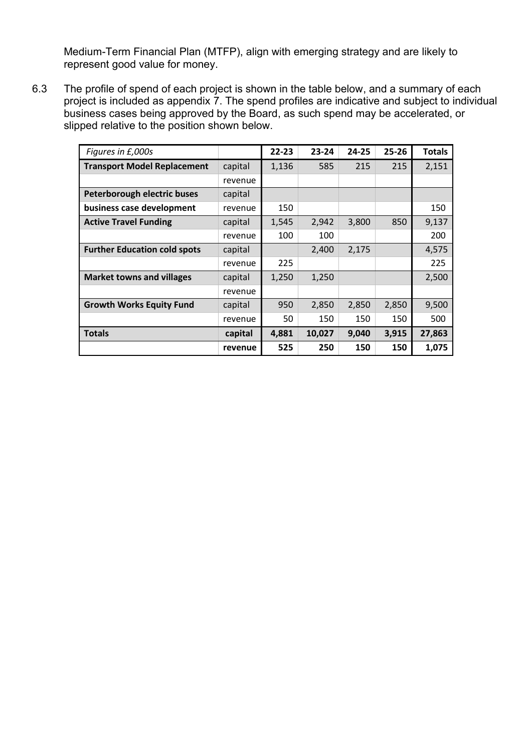Medium-Term Financial Plan (MTFP), align with emerging strategy and are likely to represent good value for money.

6.3 The profile of spend of each project is shown in the table below, and a summary of each project is included as appendix 7. The spend profiles are indicative and subject to individual business cases being approved by the Board, as such spend may be accelerated, or slipped relative to the position shown below.

| Figures in £,000s                   |         | $22 - 23$ | $23 - 24$ | $24 - 25$ | $25 - 26$ | <b>Totals</b> |
|-------------------------------------|---------|-----------|-----------|-----------|-----------|---------------|
| <b>Transport Model Replacement</b>  | capital | 1,136     | 585       | 215       | 215       | 2,151         |
|                                     | revenue |           |           |           |           |               |
| Peterborough electric buses         | capital |           |           |           |           |               |
| business case development           | revenue | 150       |           |           |           | 150           |
| <b>Active Travel Funding</b>        | capital | 1,545     | 2,942     | 3,800     | 850       | 9,137         |
|                                     | revenue | 100       | 100       |           |           | 200           |
| <b>Further Education cold spots</b> | capital |           | 2,400     | 2,175     |           | 4,575         |
|                                     | revenue | 225       |           |           |           | 225           |
| <b>Market towns and villages</b>    | capital | 1,250     | 1,250     |           |           | 2,500         |
|                                     | revenue |           |           |           |           |               |
| <b>Growth Works Equity Fund</b>     | capital | 950       | 2,850     | 2,850     | 2,850     | 9,500         |
|                                     | revenue | 50        | 150       | 150       | 150       | 500           |
| <b>Totals</b>                       | capital | 4,881     | 10,027    | 9,040     | 3,915     | 27,863        |
|                                     | revenue | 525       | 250       | 150       | 150       | 1,075         |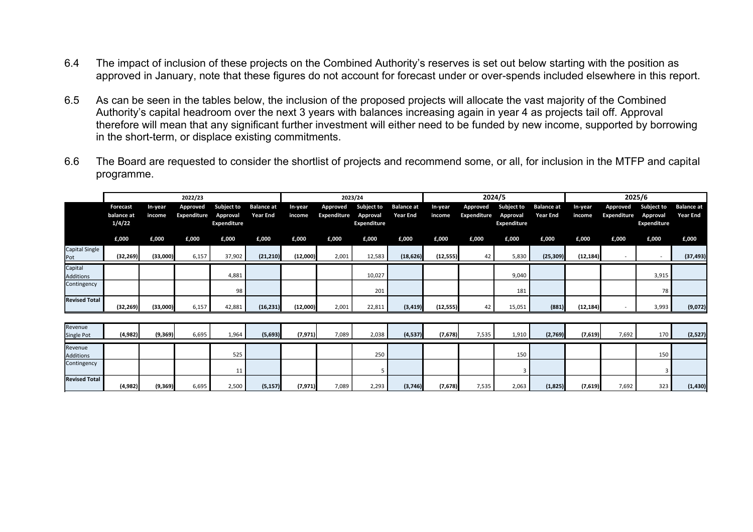- 6.4 The impact of inclusion of these projects on the Combined Authority's reserves is set out below starting with the position as approved in January, note that these figures do not account for forecast under or over-spends included elsewhere in this report.
- 6.5 As can be seen in the tables below, the inclusion of the proposed projects will allocate the vast majority of the Combined Authority's capital headroom over the next 3 years with balances increasing again in year 4 as projects tail off. Approval therefore will mean that any significant further investment will either need to be funded by new income, supported by borrowing in the short-term, or displace existing commitments.
- 6.6 The Board are requested to consider the shortlist of projects and recommend some, or all, for inclusion in the MTFP and capital programme.

|                             |                                  |                   | 2022/23                 |                                                     |                                      |                   |                                | 2023/24                               |                                      |                   |                                | 2024/5                                              |                                      |                   | 2025/6                         |                                              |                                      |
|-----------------------------|----------------------------------|-------------------|-------------------------|-----------------------------------------------------|--------------------------------------|-------------------|--------------------------------|---------------------------------------|--------------------------------------|-------------------|--------------------------------|-----------------------------------------------------|--------------------------------------|-------------------|--------------------------------|----------------------------------------------|--------------------------------------|
|                             | Forecast<br>balance at<br>1/4/22 | In-year<br>income | Approved<br>Expenditure | <b>Subject to</b><br>Approval<br><b>Expenditure</b> | <b>Balance at</b><br><b>Year End</b> | In-year<br>income | Approved<br><b>Expenditure</b> | Subject to<br>Approval<br>Expenditure | <b>Balance at</b><br><b>Year End</b> | In-year<br>income | <b>Approved</b><br>Expenditure | <b>Subject to</b><br>Approval<br><b>Expenditure</b> | <b>Balance at</b><br><b>Year End</b> | In-year<br>income | Approved<br><b>Expenditure</b> | <b>Subject to</b><br>Approval<br>Expenditure | <b>Balance</b> at<br><b>Year End</b> |
|                             | £,000                            | £,000             | £,000                   | £,000                                               | £,000                                | £,000             | £,000                          | £,000                                 | £,000                                | £,000             | £,000                          | £,000                                               | £,000                                | £,000             | £,000                          | £,000                                        | £,000                                |
| Capital Single<br>Pot       | (32, 269)                        | (33,000)          | 6,157                   | 37,902                                              | (21, 210)                            | (12,000)          | 2,001                          | 12,583                                | (18,626)                             | (12, 555)         | 42                             | 5,830                                               | (25, 309)                            | (12, 184)         |                                |                                              | (37, 493)                            |
| Capital<br><b>Additions</b> |                                  |                   |                         | 4,881                                               |                                      |                   |                                | 10,027                                |                                      |                   |                                | 9,040                                               |                                      |                   |                                | 3,915                                        |                                      |
| Contingency                 |                                  |                   |                         | 98                                                  |                                      |                   |                                | 201                                   |                                      |                   |                                | 181                                                 |                                      |                   |                                | 78                                           |                                      |
| <b>Revised Total</b>        | (32, 269)                        | (33,000)          | 6,157                   | 42,881                                              | (16, 231)                            | (12,000)          | 2,001                          | 22,811                                | (3, 419)                             | (12, 555)         | 42                             | 15,051                                              | (881)                                | (12, 184)         |                                | 3,993                                        | (9,072)                              |
|                             |                                  |                   |                         |                                                     |                                      |                   |                                |                                       |                                      |                   |                                |                                                     |                                      |                   |                                |                                              |                                      |
| Revenue<br>Single Pot       | (4,982)                          | (9, 369)          | 6,695                   | 1,964                                               | (5,693)                              | (7, 971)          | 7,089                          | 2,038                                 | (4, 537)                             | (7,678)           | 7,535                          | 1,910                                               | (2,769)                              | (7,619)           | 7,692                          | 170                                          | (2,527)                              |
| Revenue<br><b>Additions</b> |                                  |                   |                         | 525                                                 |                                      |                   |                                | 250                                   |                                      |                   |                                | 150                                                 |                                      |                   |                                | 150                                          |                                      |
| Contingency                 |                                  |                   |                         | 11                                                  |                                      |                   |                                |                                       |                                      |                   |                                |                                                     |                                      |                   |                                |                                              |                                      |
| <b>Revised Total</b>        | (4,982)                          | (9,369)           | 6,695                   | 2,500                                               | (5, 157)                             | (7, 971)          | 7,089                          | 2,293                                 | (3,746)                              | (7,678)           | 7,535                          | 2,063                                               | (1,825)                              | (7,619)           | 7,692                          | 323                                          | (1, 430)                             |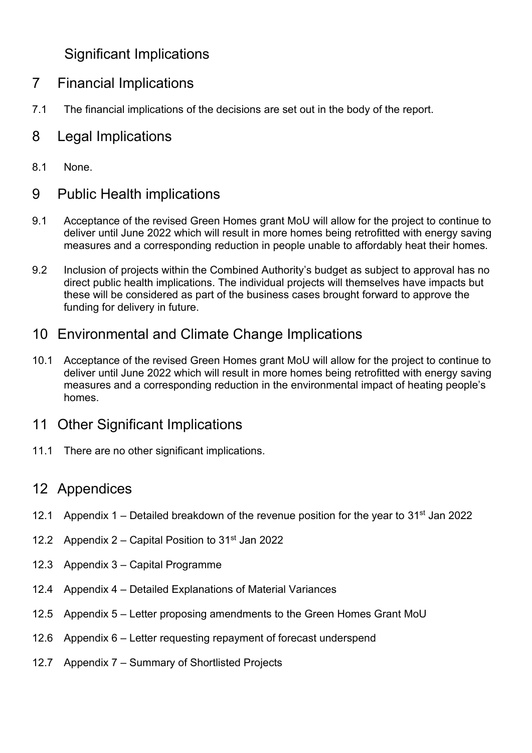## Significant Implications

- 7 Financial Implications
- 7.1 The financial implications of the decisions are set out in the body of the report.

## 8 Legal Implications

8.1 None.

## 9 Public Health implications

- 9.1 Acceptance of the revised Green Homes grant MoU will allow for the project to continue to deliver until June 2022 which will result in more homes being retrofitted with energy saving measures and a corresponding reduction in people unable to affordably heat their homes.
- 9.2 Inclusion of projects within the Combined Authority's budget as subject to approval has no direct public health implications. The individual projects will themselves have impacts but these will be considered as part of the business cases brought forward to approve the funding for delivery in future.

## 10 Environmental and Climate Change Implications

10.1 Acceptance of the revised Green Homes grant MoU will allow for the project to continue to deliver until June 2022 which will result in more homes being retrofitted with energy saving measures and a corresponding reduction in the environmental impact of heating people's homes.

## 11 Other Significant Implications

11.1 There are no other significant implications.

### 12 Appendices

- 12.1 Appendix 1 Detailed breakdown of the revenue position for the year to  $31^{st}$  Jan 2022
- 12.2 Appendix  $2 -$  Capital Position to  $31<sup>st</sup>$  Jan 2022
- 12.3 Appendix 3 Capital Programme
- 12.4 Appendix 4 Detailed Explanations of Material Variances
- 12.5 Appendix 5 Letter proposing amendments to the Green Homes Grant MoU
- 12.6 Appendix 6 Letter requesting repayment of forecast underspend
- 12.7 Appendix 7 Summary of Shortlisted Projects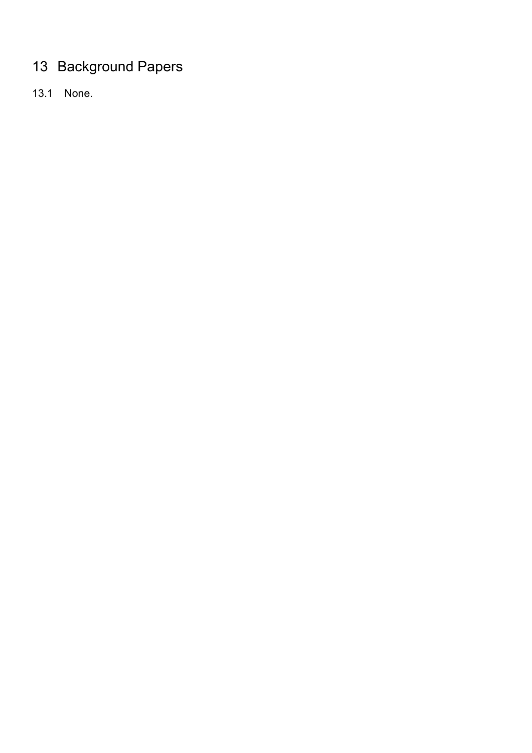# 13 Background Papers

13.1 None.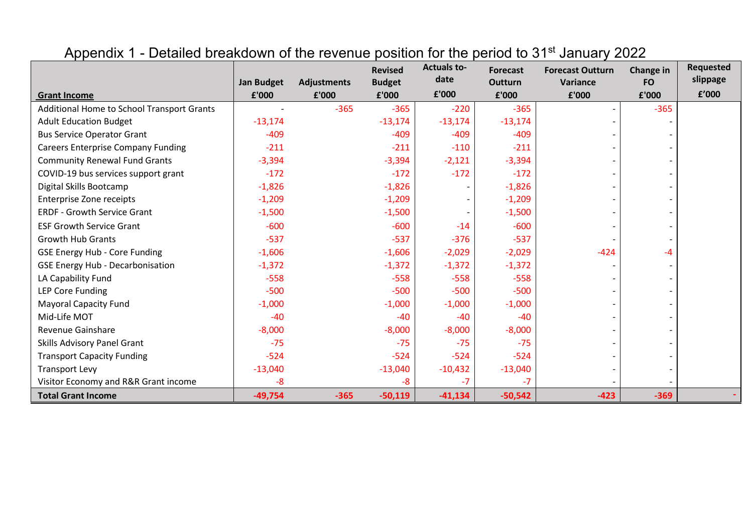|                                            | <b>Jan Budget</b> | <b>Adjustments</b> | <b>Revised</b><br><b>Budget</b> | <b>Actuals to-</b><br>date | <b>Forecast</b><br><b>Outturn</b> | <b>Forecast Outturn</b><br>Variance | <b>Change in</b><br><b>FO</b> | Requested<br>slippage |
|--------------------------------------------|-------------------|--------------------|---------------------------------|----------------------------|-----------------------------------|-------------------------------------|-------------------------------|-----------------------|
| <b>Grant Income</b>                        | £'000             | £'000              | £'000                           | £'000                      | £'000                             | £'000                               | £'000                         | f'000                 |
| Additional Home to School Transport Grants |                   | $-365$             | $-365$                          | $-220$                     | $-365$                            | $\overline{\phantom{a}}$            | $-365$                        |                       |
| <b>Adult Education Budget</b>              | $-13,174$         |                    | $-13,174$                       | $-13,174$                  | $-13,174$                         |                                     |                               |                       |
| <b>Bus Service Operator Grant</b>          | $-409$            |                    | $-409$                          | $-409$                     | $-409$                            |                                     |                               |                       |
| <b>Careers Enterprise Company Funding</b>  | $-211$            |                    | $-211$                          | $-110$                     | $-211$                            |                                     |                               |                       |
| <b>Community Renewal Fund Grants</b>       | $-3,394$          |                    | $-3,394$                        | $-2,121$                   | $-3,394$                          |                                     |                               |                       |
| COVID-19 bus services support grant        | $-172$            |                    | $-172$                          | $-172$                     | $-172$                            |                                     |                               |                       |
| Digital Skills Bootcamp                    | $-1,826$          |                    | $-1,826$                        |                            | $-1,826$                          |                                     |                               |                       |
| <b>Enterprise Zone receipts</b>            | $-1,209$          |                    | $-1,209$                        |                            | $-1,209$                          |                                     |                               |                       |
| <b>ERDF - Growth Service Grant</b>         | $-1,500$          |                    | $-1,500$                        |                            | $-1,500$                          |                                     |                               |                       |
| <b>ESF Growth Service Grant</b>            | $-600$            |                    | $-600$                          | $-14$                      | $-600$                            |                                     |                               |                       |
| <b>Growth Hub Grants</b>                   | $-537$            |                    | $-537$                          | $-376$                     | $-537$                            |                                     |                               |                       |
| <b>GSE Energy Hub - Core Funding</b>       | $-1,606$          |                    | $-1,606$                        | $-2,029$                   | $-2,029$                          | $-424$                              | -4                            |                       |
| <b>GSE Energy Hub - Decarbonisation</b>    | $-1,372$          |                    | $-1,372$                        | $-1,372$                   | $-1,372$                          |                                     |                               |                       |
| LA Capability Fund                         | $-558$            |                    | $-558$                          | $-558$                     | $-558$                            |                                     |                               |                       |
| <b>LEP Core Funding</b>                    | $-500$            |                    | $-500$                          | $-500$                     | $-500$                            |                                     |                               |                       |
| <b>Mayoral Capacity Fund</b>               | $-1,000$          |                    | $-1,000$                        | $-1,000$                   | $-1,000$                          |                                     |                               |                       |
| Mid-Life MOT                               | $-40$             |                    | $-40$                           | $-40$                      | $-40$                             |                                     |                               |                       |
| Revenue Gainshare                          | $-8,000$          |                    | $-8,000$                        | $-8,000$                   | $-8,000$                          |                                     |                               |                       |
| Skills Advisory Panel Grant                | $-75$             |                    | $-75$                           | $-75$                      | $-75$                             |                                     |                               |                       |
| <b>Transport Capacity Funding</b>          | $-524$            |                    | $-524$                          | $-524$                     | $-524$                            |                                     |                               |                       |
| <b>Transport Levy</b>                      | $-13,040$         |                    | $-13,040$                       | $-10,432$                  | $-13,040$                         |                                     |                               |                       |
| Visitor Economy and R&R Grant income       | -8                |                    | -8                              | $-7$                       | $-7$                              |                                     |                               |                       |
| <b>Total Grant Income</b>                  | $-49,754$         | $-365$             | $-50,119$                       | $-41,134$                  | $-50,542$                         | $-423$                              | $-369$                        |                       |

## Appendix 1 - Detailed breakdown of the revenue position for the period to 31<sup>st</sup> January 2022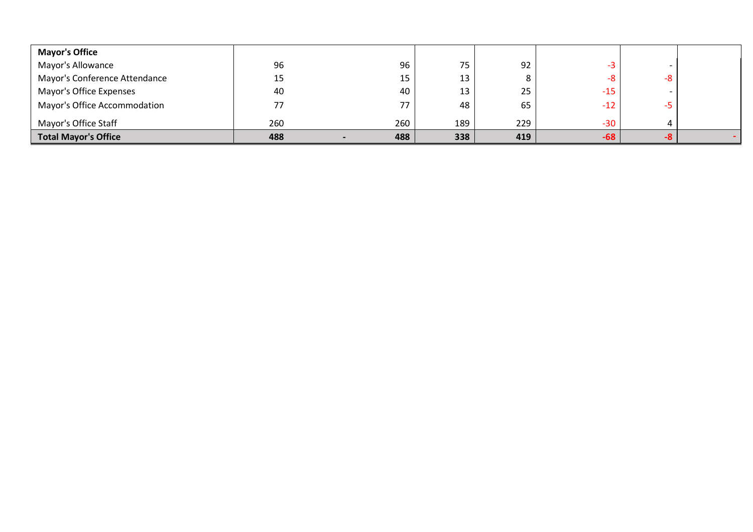| <b>Mayor's Office</b>         |     |     |     |     |       |  |
|-------------------------------|-----|-----|-----|-----|-------|--|
| Mayor's Allowance             | 96  | 96  | 75  | 92  |       |  |
| Mayor's Conference Attendance | 15  | 15  | 13  | 8   |       |  |
| Mayor's Office Expenses       | 40  | 40  | 13  | 25  | $-15$ |  |
| Mayor's Office Accommodation  | 77  | 77  | 48  | 65  | $-12$ |  |
| Mayor's Office Staff          | 260 | 260 | 189 | 229 | $-30$ |  |
| <b>Total Mayor's Office</b>   | 488 | 488 | 338 | 419 | $-68$ |  |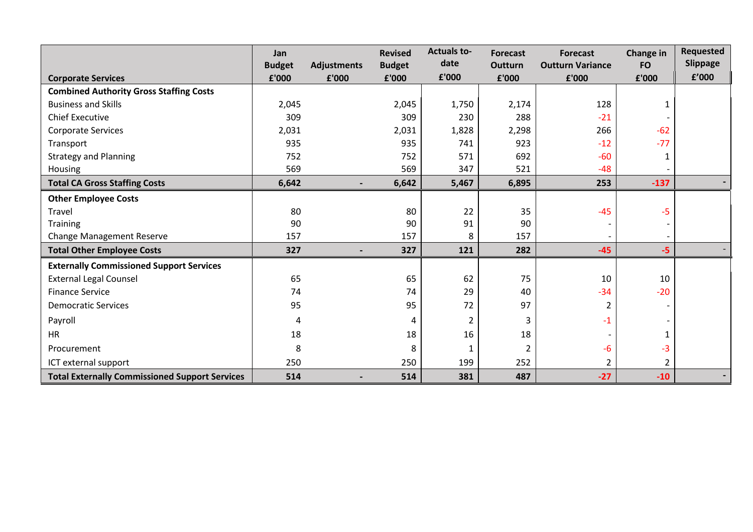|                                                       | Jan<br><b>Budget</b> | <b>Adjustments</b>       | <b>Revised</b><br><b>Budget</b> | <b>Actuals to-</b><br>date | <b>Forecast</b><br><b>Outturn</b> | <b>Forecast</b><br><b>Outturn Variance</b> | Change in<br><b>FO</b> | <b>Requested</b><br>Slippage |
|-------------------------------------------------------|----------------------|--------------------------|---------------------------------|----------------------------|-----------------------------------|--------------------------------------------|------------------------|------------------------------|
| <b>Corporate Services</b>                             | £'000                | £'000                    | £'000                           | £'000                      | £'000                             | £'000                                      | £'000                  | £'000                        |
| <b>Combined Authority Gross Staffing Costs</b>        |                      |                          |                                 |                            |                                   |                                            |                        |                              |
| <b>Business and Skills</b>                            | 2,045                |                          | 2,045                           | 1,750                      | 2,174                             | 128                                        |                        |                              |
| <b>Chief Executive</b>                                | 309                  |                          | 309                             | 230                        | 288                               | $-21$                                      |                        |                              |
| <b>Corporate Services</b>                             | 2,031                |                          | 2,031                           | 1,828                      | 2,298                             | 266                                        | $-62$                  |                              |
| Transport                                             | 935                  |                          | 935                             | 741                        | 923                               | $-12$                                      | $-77$                  |                              |
| <b>Strategy and Planning</b>                          | 752                  |                          | 752                             | 571                        | 692                               | $-60$                                      |                        |                              |
| Housing                                               | 569                  |                          | 569                             | 347                        | 521                               | $-48$                                      |                        |                              |
| <b>Total CA Gross Staffing Costs</b>                  | 6,642                | $\overline{\phantom{0}}$ | 6,642                           | 5,467                      | 6,895                             | 253                                        | $-137$                 |                              |
| <b>Other Employee Costs</b>                           |                      |                          |                                 |                            |                                   |                                            |                        |                              |
| Travel                                                | 80                   |                          | 80                              | 22                         | 35                                | $-45$                                      | -5                     |                              |
| <b>Training</b>                                       | 90                   |                          | 90                              | 91                         | 90                                |                                            |                        |                              |
| Change Management Reserve                             | 157                  |                          | 157                             | 8                          | 157                               |                                            |                        |                              |
| <b>Total Other Employee Costs</b>                     | 327                  |                          | 327                             | 121                        | 282                               | $-45$                                      | $-5$                   |                              |
| <b>Externally Commissioned Support Services</b>       |                      |                          |                                 |                            |                                   |                                            |                        |                              |
| <b>External Legal Counsel</b>                         | 65                   |                          | 65                              | 62                         | 75                                | 10                                         | 10                     |                              |
| <b>Finance Service</b>                                | 74                   |                          | 74                              | 29                         | 40                                | $-34$                                      | $-20$                  |                              |
| <b>Democratic Services</b>                            | 95                   |                          | 95                              | 72                         | 97                                |                                            |                        |                              |
| Payroll                                               | 4                    |                          | 4                               | 2                          | 3                                 | $-1$                                       |                        |                              |
| <b>HR</b>                                             | 18                   |                          | 18                              | 16                         | 18                                |                                            |                        |                              |
| Procurement                                           | 8                    |                          | 8                               | 1                          | $\overline{2}$                    | -6                                         | $-3$                   |                              |
| ICT external support                                  | 250                  |                          | 250                             | 199                        | 252                               | 2                                          | 2                      |                              |
| <b>Total Externally Commissioned Support Services</b> | 514                  |                          | 514                             | 381                        | 487                               | $-27$                                      | $-10$                  |                              |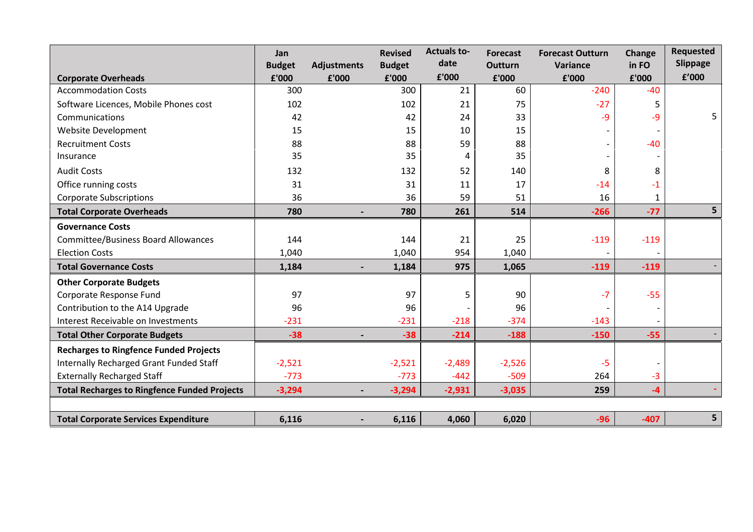|                                                     | Jan<br><b>Budget</b> | <b>Adjustments</b> | <b>Revised</b><br><b>Budget</b> | <b>Actuals to-</b><br>date | <b>Forecast</b><br><b>Outturn</b> | <b>Forecast Outturn</b><br>Variance | <b>Change</b><br>in FO | <b>Requested</b><br>Slippage |
|-----------------------------------------------------|----------------------|--------------------|---------------------------------|----------------------------|-----------------------------------|-------------------------------------|------------------------|------------------------------|
| <b>Corporate Overheads</b>                          | £'000                | £'000              | £'000                           | £'000                      | £'000                             | £'000                               | £'000                  | £'000                        |
| <b>Accommodation Costs</b>                          | 300                  |                    | 300                             | 21                         | 60                                | $-240$                              | $-40$                  |                              |
| Software Licences, Mobile Phones cost               | 102                  |                    | 102                             | 21                         | 75                                | $-27$                               | 5                      |                              |
| Communications                                      | 42                   |                    | 42                              | 24                         | 33                                | -9                                  | -9                     |                              |
| Website Development                                 | 15                   |                    | 15                              | 10                         | 15                                |                                     |                        |                              |
| <b>Recruitment Costs</b>                            | 88                   |                    | 88                              | 59                         | 88                                |                                     | $-40$                  |                              |
| Insurance                                           | 35                   |                    | 35                              | 4                          | 35                                |                                     |                        |                              |
| <b>Audit Costs</b>                                  | 132                  |                    | 132                             | 52                         | 140                               | 8                                   | 8                      |                              |
| Office running costs                                | 31                   |                    | 31                              | 11                         | 17                                | $-14$                               | $-1$                   |                              |
| <b>Corporate Subscriptions</b>                      | 36                   |                    | 36                              | 59                         | 51                                | 16                                  | $\mathbf{1}$           |                              |
| <b>Total Corporate Overheads</b>                    | 780                  |                    | 780                             | 261                        | 514                               | $-266$                              | $-77$                  | 5                            |
| <b>Governance Costs</b>                             |                      |                    |                                 |                            |                                   |                                     |                        |                              |
| <b>Committee/Business Board Allowances</b>          | 144                  |                    | 144                             | 21                         | 25                                | $-119$                              | $-119$                 |                              |
| <b>Election Costs</b>                               | 1,040                |                    | 1,040                           | 954                        | 1,040                             |                                     |                        |                              |
| <b>Total Governance Costs</b>                       | 1,184                |                    | 1,184                           | 975                        | 1,065                             | $-119$                              | $-119$                 |                              |
| <b>Other Corporate Budgets</b>                      |                      |                    |                                 |                            |                                   |                                     |                        |                              |
| Corporate Response Fund                             | 97                   |                    | 97                              | 5                          | 90                                | $-7$                                | $-55$                  |                              |
| Contribution to the A14 Upgrade                     | 96                   |                    | 96                              |                            | 96                                |                                     |                        |                              |
| Interest Receivable on Investments                  | $-231$               |                    | $-231$                          | $-218$                     | $-374$                            | $-143$                              |                        |                              |
| <b>Total Other Corporate Budgets</b>                | $-38$                |                    | $-38$                           | $-214$                     | $-188$                            | $-150$                              | $-55$                  |                              |
| <b>Recharges to Ringfence Funded Projects</b>       |                      |                    |                                 |                            |                                   |                                     |                        |                              |
| Internally Recharged Grant Funded Staff             | $-2,521$             |                    | $-2,521$                        | $-2,489$                   | $-2,526$                          | -5                                  |                        |                              |
| <b>Externally Recharged Staff</b>                   | $-773$               |                    | $-773$                          | $-442$                     | $-509$                            | 264                                 | $-3$                   |                              |
| <b>Total Recharges to Ringfence Funded Projects</b> | $-3,294$             |                    | $-3,294$                        | $-2,931$                   | $-3,035$                          | 259                                 | $-4$                   |                              |
|                                                     |                      |                    |                                 |                            |                                   |                                     |                        |                              |
| <b>Total Corporate Services Expenditure</b>         | 6,116                |                    | 6,116                           | 4,060                      | 6,020                             | $-96$                               | $-407$                 | 5                            |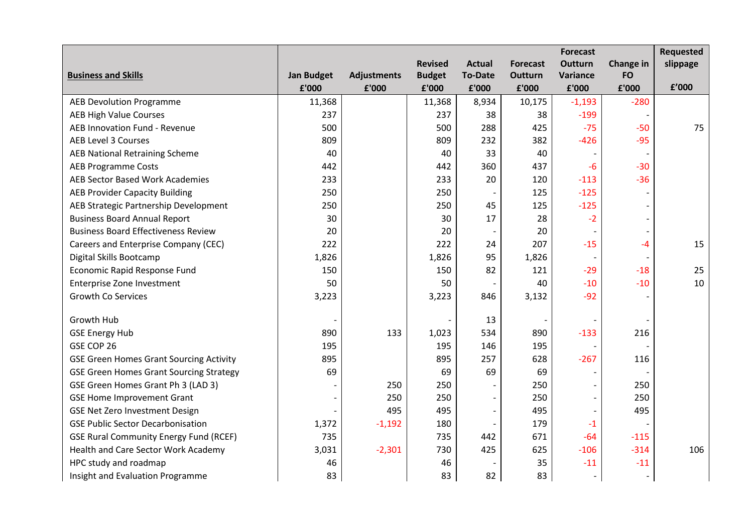|                                                |                   |                    |                |                          |                 | <b>Forecast</b> |                  | Requested |
|------------------------------------------------|-------------------|--------------------|----------------|--------------------------|-----------------|-----------------|------------------|-----------|
|                                                |                   |                    | <b>Revised</b> | <b>Actual</b>            | <b>Forecast</b> | <b>Outturn</b>  | <b>Change in</b> | slippage  |
| <b>Business and Skills</b>                     | <b>Jan Budget</b> | <b>Adjustments</b> | <b>Budget</b>  | <b>To-Date</b>           | Outturn         | Variance        | <b>FO</b>        |           |
|                                                | £'000             | £'000              | £'000          | £'000                    | £'000           | £'000           | £'000            | £'000     |
| <b>AEB Devolution Programme</b>                | 11,368            |                    | 11,368         | 8,934                    | 10,175          | $-1,193$        | $-280$           |           |
| <b>AEB High Value Courses</b>                  | 237               |                    | 237            | 38                       | 38              | $-199$          |                  |           |
| AEB Innovation Fund - Revenue                  | 500               |                    | 500            | 288                      | 425             | $-75$           | $-50$            | 75        |
| <b>AEB Level 3 Courses</b>                     | 809               |                    | 809            | 232                      | 382             | $-426$          | $-95$            |           |
| <b>AEB National Retraining Scheme</b>          | 40                |                    | 40             | 33                       | 40              |                 |                  |           |
| <b>AEB Programme Costs</b>                     | 442               |                    | 442            | 360                      | 437             | $-6$            | $-30$            |           |
| <b>AEB Sector Based Work Academies</b>         | 233               |                    | 233            | 20                       | 120             | $-113$          | $-36$            |           |
| <b>AEB Provider Capacity Building</b>          | 250               |                    | 250            |                          | 125             | $-125$          |                  |           |
| AEB Strategic Partnership Development          | 250               |                    | 250            | 45                       | 125             | $-125$          |                  |           |
| <b>Business Board Annual Report</b>            | 30                |                    | 30             | 17                       | 28              | $-2$            |                  |           |
| <b>Business Board Effectiveness Review</b>     | 20                |                    | 20             |                          | 20              |                 |                  |           |
| Careers and Enterprise Company (CEC)           | 222               |                    | 222            | 24                       | 207             | $-15$           | -4               | 15        |
| Digital Skills Bootcamp                        | 1,826             |                    | 1,826          | 95                       | 1,826           |                 |                  |           |
| Economic Rapid Response Fund                   | 150               |                    | 150            | 82                       | 121             | $-29$           | $-18$            | 25        |
| Enterprise Zone Investment                     | 50                |                    | 50             |                          | 40              | $-10$           | $-10$            | 10        |
| <b>Growth Co Services</b>                      | 3,223             |                    | 3,223          | 846                      | 3,132           | $-92$           |                  |           |
|                                                |                   |                    |                |                          |                 |                 |                  |           |
| Growth Hub                                     |                   |                    |                | 13                       |                 |                 |                  |           |
| <b>GSE Energy Hub</b>                          | 890               | 133                | 1,023          | 534                      | 890             | $-133$          | 216              |           |
| GSE COP 26                                     | 195               |                    | 195            | 146                      | 195             |                 |                  |           |
| <b>GSE Green Homes Grant Sourcing Activity</b> | 895               |                    | 895            | 257                      | 628             | $-267$          | 116              |           |
| <b>GSE Green Homes Grant Sourcing Strategy</b> | 69                |                    | 69             | 69                       | 69              |                 |                  |           |
| GSE Green Homes Grant Ph 3 (LAD 3)             |                   | 250                | 250            |                          | 250             |                 | 250              |           |
| <b>GSE Home Improvement Grant</b>              |                   | 250                | 250            | $\overline{\phantom{a}}$ | 250             |                 | 250              |           |
| <b>GSE Net Zero Investment Design</b>          |                   | 495                | 495            |                          | 495             |                 | 495              |           |
| <b>GSE Public Sector Decarbonisation</b>       | 1,372             | $-1,192$           | 180            |                          | 179             | $-1$            |                  |           |
| <b>GSE Rural Community Energy Fund (RCEF)</b>  | 735               |                    | 735            | 442                      | 671             | $-64$           | $-115$           |           |
| Health and Care Sector Work Academy            | 3,031             | $-2,301$           | 730            | 425                      | 625             | $-106$          | $-314$           | 106       |
| HPC study and roadmap                          | 46                |                    | 46             |                          | 35              | $-11$           | $-11$            |           |
| Insight and Evaluation Programme               | 83                |                    | 83             | 82                       | 83              |                 |                  |           |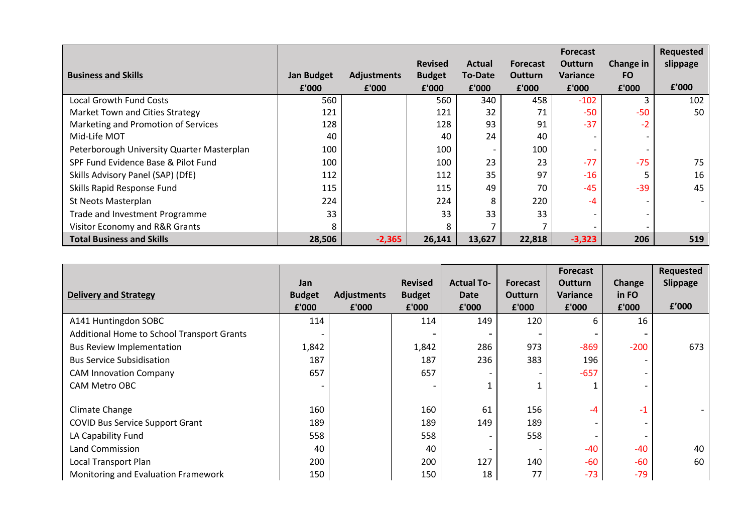|                                            |                   |                    |                |               |                 | <b>Forecast</b> |           | Requested |
|--------------------------------------------|-------------------|--------------------|----------------|---------------|-----------------|-----------------|-----------|-----------|
|                                            |                   |                    | <b>Revised</b> | <b>Actual</b> | <b>Forecast</b> | <b>Outturn</b>  | Change in | slippage  |
| <b>Business and Skills</b>                 | <b>Jan Budget</b> | <b>Adjustments</b> | <b>Budget</b>  | To-Date       | <b>Outturn</b>  | <b>Variance</b> | <b>FO</b> |           |
|                                            | £'000             | £'000              | £'000          | £'000         | £'000           | £'000           | £'000     | f'000     |
| <b>Local Growth Fund Costs</b>             | 560               |                    | 560            | 340           | 458             | $-102$          | з         | 102       |
| Market Town and Cities Strategy            | 121               |                    | 121            | 32            | 71              | $-50$           | -50       | 50        |
| Marketing and Promotion of Services        | 128               |                    | 128            | 93            | 91              | $-37$           | $-2$      |           |
| Mid-Life MOT                               | 40                |                    | 40             | 24            | 40              |                 |           |           |
| Peterborough University Quarter Masterplan | 100               |                    | 100            |               | 100             |                 |           |           |
| SPF Fund Evidence Base & Pilot Fund        | 100               |                    | 100            | 23            | 23              | $-77$           | $-75$     | 75        |
| Skills Advisory Panel (SAP) (DfE)          | 112               |                    | 112            | 35            | 97              | $-16$           |           | 16        |
| Skills Rapid Response Fund                 | 115               |                    | 115            | 49            | 70              | $-45$           | $-39$     | 45        |
| St Neots Masterplan                        | 224               |                    | 224            | 8             | 220             | -4              |           |           |
| Trade and Investment Programme             | 33                |                    | 33             | 33            | 33              |                 |           |           |
| Visitor Economy and R&R Grants             | 8                 |                    | 8              |               |                 |                 |           |           |
| <b>Total Business and Skills</b>           | 28,506            | $-2,365$           | 26,141         | 13,627        | 22,818          | $-3,323$        | 206       | 519       |

|                                            |                      |                    |                                 |                           |                            | <b>Forecast</b>                   |                 | Requested       |
|--------------------------------------------|----------------------|--------------------|---------------------------------|---------------------------|----------------------------|-----------------------------------|-----------------|-----------------|
| <b>Delivery and Strategy</b>               | Jan<br><b>Budget</b> | <b>Adjustments</b> | <b>Revised</b><br><b>Budget</b> | <b>Actual To-</b><br>Date | <b>Forecast</b><br>Outturn | <b>Outturn</b><br><b>Variance</b> | Change<br>in FO | <b>Slippage</b> |
|                                            | £'000                | £'000              | £'000                           | £'000                     | £'000                      | £'000                             | £'000           | £'000           |
| A141 Huntingdon SOBC                       | 114                  |                    | 114                             | 149                       | 120                        | 6.                                | 16              |                 |
| Additional Home to School Transport Grants |                      |                    |                                 |                           |                            |                                   |                 |                 |
| <b>Bus Review Implementation</b>           | 1,842                |                    | 1,842                           | 286                       | 973                        | $-869$                            | $-200$          | 673             |
| <b>Bus Service Subsidisation</b>           | 187                  |                    | 187                             | 236                       | 383                        | 196                               |                 |                 |
| <b>CAM Innovation Company</b>              | 657                  |                    | 657                             |                           |                            | $-657$                            |                 |                 |
| <b>CAM Metro OBC</b>                       |                      |                    |                                 |                           |                            |                                   |                 |                 |
|                                            |                      |                    |                                 |                           |                            |                                   |                 |                 |
| Climate Change                             | 160                  |                    | 160                             | 61                        | 156                        | $-4$                              | $-1$            |                 |
| <b>COVID Bus Service Support Grant</b>     | 189                  |                    | 189                             | 149                       | 189                        |                                   |                 |                 |
| LA Capability Fund                         | 558                  |                    | 558                             |                           | 558                        |                                   |                 |                 |
| Land Commission                            | 40                   |                    | 40                              |                           |                            | -40                               | $-40$           | 40              |
| Local Transport Plan                       | 200                  |                    | 200                             | 127                       | 140                        | -60                               | $-60$           | 60              |
| Monitoring and Evaluation Framework        | 150                  |                    | 150                             | 18                        | 77                         | $-73$                             | $-79$           |                 |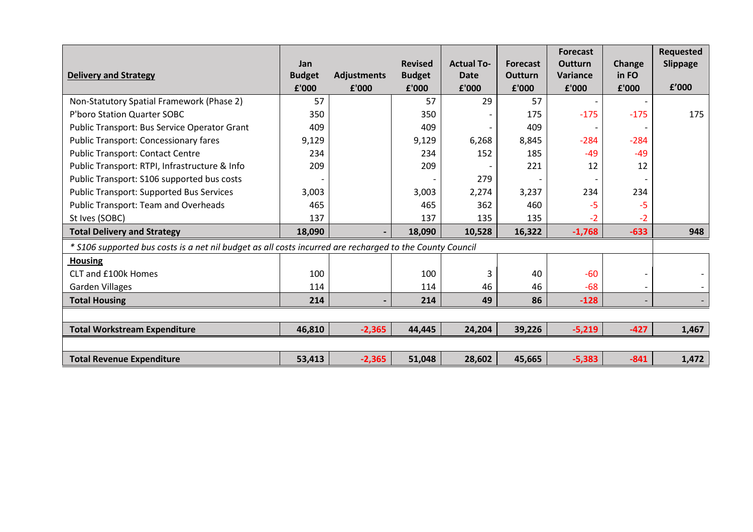|                                                                                                          | Jan           |                    | <b>Revised</b> | <b>Actual To-</b> | <b>Forecast</b> | <b>Forecast</b><br><b>Outturn</b> | Change | <b>Requested</b><br>Slippage |
|----------------------------------------------------------------------------------------------------------|---------------|--------------------|----------------|-------------------|-----------------|-----------------------------------|--------|------------------------------|
| <b>Delivery and Strategy</b>                                                                             | <b>Budget</b> | <b>Adjustments</b> | <b>Budget</b>  | Date              | Outturn         | Variance                          | in FO  |                              |
|                                                                                                          | £'000         | £'000              | £'000          | £'000             | £'000           | £'000                             | £'000  | f'000                        |
| Non-Statutory Spatial Framework (Phase 2)                                                                | 57            |                    | 57             | 29                | 57              | $\overline{\phantom{a}}$          |        |                              |
| P'boro Station Quarter SOBC                                                                              | 350           |                    | 350            |                   | 175             | $-175$                            | $-175$ | 175                          |
| Public Transport: Bus Service Operator Grant                                                             | 409           |                    | 409            |                   | 409             |                                   |        |                              |
| <b>Public Transport: Concessionary fares</b>                                                             | 9,129         |                    | 9,129          | 6,268             | 8,845           | $-284$                            | $-284$ |                              |
| <b>Public Transport: Contact Centre</b>                                                                  | 234           |                    | 234            | 152               | 185             | $-49$                             | $-49$  |                              |
| Public Transport: RTPI, Infrastructure & Info                                                            | 209           |                    | 209            |                   | 221             | 12                                | 12     |                              |
| Public Transport: S106 supported bus costs                                                               |               |                    |                | 279               |                 |                                   |        |                              |
| <b>Public Transport: Supported Bus Services</b>                                                          | 3,003         |                    | 3,003          | 2,274             | 3,237           | 234                               | 234    |                              |
| <b>Public Transport: Team and Overheads</b>                                                              | 465           |                    | 465            | 362               | 460             | -5                                | -5     |                              |
| St Ives (SOBC)                                                                                           | 137           |                    | 137            | 135               | 135             | -2                                | $-2$   |                              |
| <b>Total Delivery and Strategy</b>                                                                       | 18,090        |                    | 18,090         | 10,528            | 16,322          | $-1,768$                          | $-633$ | 948                          |
| * S106 supported bus costs is a net nil budget as all costs incurred are recharged to the County Council |               |                    |                |                   |                 |                                   |        |                              |
| <b>Housing</b>                                                                                           |               |                    |                |                   |                 |                                   |        |                              |
| CLT and £100k Homes                                                                                      | 100           |                    | 100            | 3                 | 40              | $-60$                             |        |                              |
| Garden Villages                                                                                          | 114           |                    | 114            | 46                | 46              | $-68$                             |        |                              |
| <b>Total Housing</b>                                                                                     | 214           |                    | 214            | 49                | 86              | $-128$                            |        |                              |
|                                                                                                          |               |                    |                |                   |                 |                                   |        |                              |
| <b>Total Workstream Expenditure</b>                                                                      | 46,810        | $-2,365$           | 44,445         | 24,204            | 39,226          | $-5,219$                          | $-427$ | 1,467                        |
|                                                                                                          |               |                    |                |                   |                 |                                   |        |                              |
| <b>Total Revenue Expenditure</b>                                                                         | 53,413        | $-2,365$           | 51,048         | 28,602            | 45,665          | $-5,383$                          | $-841$ | 1,472                        |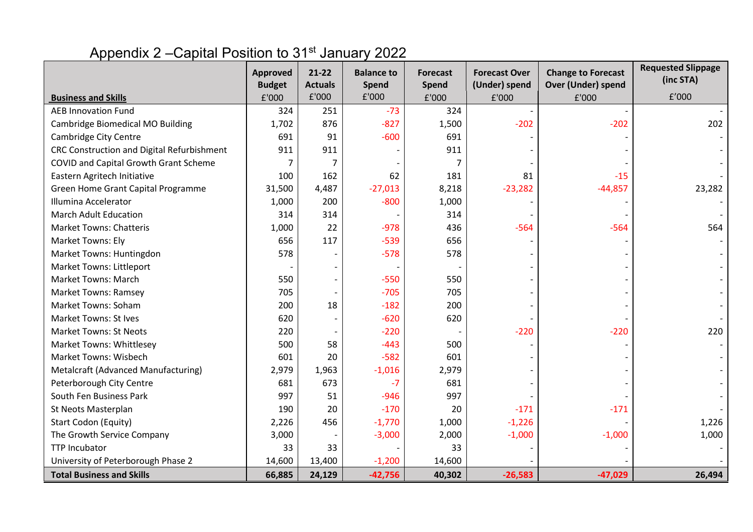# Appendix 2 – Capital Position to 31<sup>st</sup> January 2022

|                                            | <b>Approved</b>        | $21-22$<br><b>Actuals</b> | <b>Balance to</b> | <b>Forecast</b> | <b>Forecast Over</b><br>(Under) spend | <b>Change to Forecast</b><br><b>Over (Under) spend</b> | <b>Requested Slippage</b><br>(inc STA) |
|--------------------------------------------|------------------------|---------------------------|-------------------|-----------------|---------------------------------------|--------------------------------------------------------|----------------------------------------|
| <b>Business and Skills</b>                 | <b>Budget</b><br>£'000 | £'000                     | Spend<br>£'000    | Spend<br>£'000  | £'000                                 | £'000                                                  | f'000                                  |
| <b>AEB Innovation Fund</b>                 | 324                    | 251                       | $-73$             | 324             |                                       |                                                        |                                        |
| Cambridge Biomedical MO Building           | 1,702                  | 876                       | $-827$            | 1,500           | $-202$                                | $-202$                                                 | 202                                    |
| <b>Cambridge City Centre</b>               | 691                    | 91                        | $-600$            | 691             |                                       |                                                        |                                        |
| CRC Construction and Digital Refurbishment | 911                    | 911                       |                   | 911             |                                       |                                                        |                                        |
| COVID and Capital Growth Grant Scheme      | 7                      | 7                         |                   |                 |                                       |                                                        |                                        |
| Eastern Agritech Initiative                | 100                    | 162                       | 62                | 181             | 81                                    | $-15$                                                  |                                        |
| Green Home Grant Capital Programme         | 31,500                 | 4,487                     | $-27,013$         | 8,218           | $-23,282$                             | $-44,857$                                              | 23,282                                 |
| Illumina Accelerator                       | 1,000                  | 200                       | $-800$            | 1,000           |                                       |                                                        |                                        |
| <b>March Adult Education</b>               | 314                    | 314                       |                   | 314             |                                       |                                                        |                                        |
| <b>Market Towns: Chatteris</b>             | 1,000                  | 22                        | $-978$            | 436             | $-564$                                | $-564$                                                 | 564                                    |
| Market Towns: Ely                          | 656                    | 117                       | $-539$            | 656             |                                       |                                                        |                                        |
| Market Towns: Huntingdon                   | 578                    |                           | $-578$            | 578             |                                       |                                                        |                                        |
| <b>Market Towns: Littleport</b>            |                        |                           |                   |                 |                                       |                                                        |                                        |
| <b>Market Towns: March</b>                 | 550                    |                           | $-550$            | 550             |                                       |                                                        |                                        |
| <b>Market Towns: Ramsey</b>                | 705                    |                           | $-705$            | 705             |                                       |                                                        |                                        |
| <b>Market Towns: Soham</b>                 | 200                    | 18                        | $-182$            | 200             |                                       |                                                        |                                        |
| <b>Market Towns: St Ives</b>               | 620                    |                           | $-620$            | 620             |                                       |                                                        |                                        |
| <b>Market Towns: St Neots</b>              | 220                    |                           | $-220$            |                 | $-220$                                | $-220$                                                 | 220                                    |
| <b>Market Towns: Whittlesey</b>            | 500                    | 58                        | $-443$            | 500             |                                       |                                                        |                                        |
| <b>Market Towns: Wisbech</b>               | 601                    | 20                        | $-582$            | 601             |                                       |                                                        |                                        |
| Metalcraft (Advanced Manufacturing)        | 2,979                  | 1,963                     | $-1,016$          | 2,979           |                                       |                                                        |                                        |
| Peterborough City Centre                   | 681                    | 673                       | $-7$              | 681             |                                       |                                                        |                                        |
| South Fen Business Park                    | 997                    | 51                        | $-946$            | 997             |                                       |                                                        |                                        |
| St Neots Masterplan                        | 190                    | 20                        | $-170$            | 20              | $-171$                                | $-171$                                                 |                                        |
| <b>Start Codon (Equity)</b>                | 2,226                  | 456                       | $-1,770$          | 1,000           | $-1,226$                              |                                                        | 1,226                                  |
| The Growth Service Company                 | 3,000                  |                           | $-3,000$          | 2,000           | $-1,000$                              | $-1,000$                                               | 1,000                                  |
| <b>TTP Incubator</b>                       | 33                     | 33                        |                   | 33              |                                       |                                                        |                                        |
| University of Peterborough Phase 2         | 14,600                 | 13,400                    | $-1,200$          | 14,600          |                                       |                                                        |                                        |
| <b>Total Business and Skills</b>           | 66,885                 | 24,129                    | $-42,756$         | 40,302          | $-26,583$                             | $-47,029$                                              | 26,494                                 |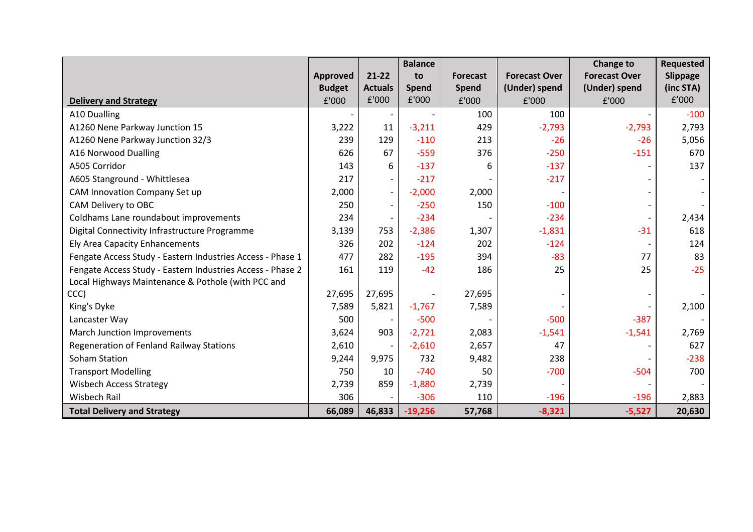|                                                            |                 |                          | <b>Balance</b> |                 |                      | Change to            | <b>Requested</b> |
|------------------------------------------------------------|-----------------|--------------------------|----------------|-----------------|----------------------|----------------------|------------------|
|                                                            | <b>Approved</b> | $21-22$                  | to             | <b>Forecast</b> | <b>Forecast Over</b> | <b>Forecast Over</b> | Slippage         |
|                                                            | <b>Budget</b>   | <b>Actuals</b>           | <b>Spend</b>   | <b>Spend</b>    | (Under) spend        | (Under) spend        | (inc STA)        |
| <b>Delivery and Strategy</b>                               | £'000           | £'000                    | £'000          | £'000           | £'000                | £'000                | f'000            |
| A10 Dualling                                               |                 |                          |                | 100             | 100                  |                      | $-100$           |
| A1260 Nene Parkway Junction 15                             | 3,222           | 11                       | $-3,211$       | 429             | $-2,793$             | $-2,793$             | 2,793            |
| A1260 Nene Parkway Junction 32/3                           | 239             | 129                      | $-110$         | 213             | $-26$                | $-26$                | 5,056            |
| A16 Norwood Dualling                                       | 626             | 67                       | $-559$         | 376             | $-250$               | $-151$               | 670              |
| A505 Corridor                                              | 143             | 6                        | $-137$         | 6               | $-137$               |                      | 137              |
| A605 Stanground - Whittlesea                               | 217             | $\overline{\phantom{0}}$ | $-217$         |                 | $-217$               |                      |                  |
| CAM Innovation Company Set up                              | 2,000           | $\overline{\phantom{a}}$ | $-2,000$       | 2,000           |                      |                      |                  |
| CAM Delivery to OBC                                        | 250             |                          | $-250$         | 150             | $-100$               |                      |                  |
| Coldhams Lane roundabout improvements                      | 234             |                          | $-234$         |                 | $-234$               |                      | 2,434            |
| Digital Connectivity Infrastructure Programme              | 3,139           | 753                      | $-2,386$       | 1,307           | $-1,831$             | $-31$                | 618              |
| Ely Area Capacity Enhancements                             | 326             | 202                      | $-124$         | 202             | $-124$               |                      | 124              |
| Fengate Access Study - Eastern Industries Access - Phase 1 | 477             | 282                      | $-195$         | 394             | $-83$                | 77                   | 83               |
| Fengate Access Study - Eastern Industries Access - Phase 2 | 161             | 119                      | $-42$          | 186             | 25                   | 25                   | $-25$            |
| Local Highways Maintenance & Pothole (with PCC and         |                 |                          |                |                 |                      |                      |                  |
| CCC)                                                       | 27,695          | 27,695                   |                | 27,695          |                      |                      |                  |
| King's Dyke                                                | 7,589           | 5,821                    | $-1,767$       | 7,589           |                      |                      | 2,100            |
| Lancaster Way                                              | 500             |                          | $-500$         |                 | $-500$               | $-387$               |                  |
| March Junction Improvements                                | 3,624           | 903                      | $-2,721$       | 2,083           | $-1,541$             | $-1,541$             | 2,769            |
| Regeneration of Fenland Railway Stations                   | 2,610           |                          | $-2,610$       | 2,657           | 47                   |                      | 627              |
| Soham Station                                              | 9,244           | 9,975                    | 732            | 9,482           | 238                  |                      | $-238$           |
| <b>Transport Modelling</b>                                 | 750             | 10                       | $-740$         | 50              | $-700$               | $-504$               | 700              |
| <b>Wisbech Access Strategy</b>                             | 2,739           | 859                      | $-1,880$       | 2,739           |                      |                      |                  |
| Wisbech Rail                                               | 306             |                          | $-306$         | 110             | $-196$               | $-196$               | 2,883            |
| <b>Total Delivery and Strategy</b>                         | 66,089          | 46,833                   | $-19,256$      | 57,768          | $-8,321$             | $-5,527$             | 20,630           |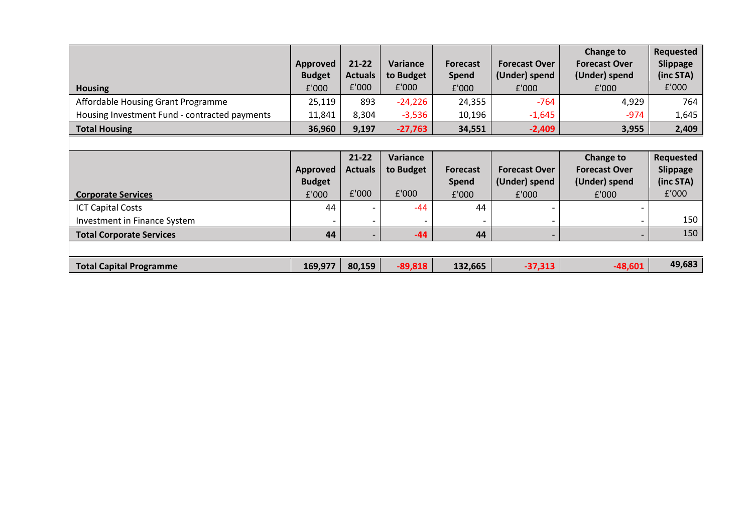| <b>Housing</b>                                                        | <b>Approved</b><br><b>Budget</b><br>£'000 | $21 - 22$<br><b>Actuals</b><br>£'000 | <b>Variance</b><br>to Budget<br>£'000 | <b>Forecast</b><br><b>Spend</b><br>£'000 | <b>Forecast Over</b><br>(Under) spend<br>£'000 | Change to<br><b>Forecast Over</b><br>(Under) spend<br>£'000 | <b>Requested</b><br>Slippage<br>(inc STA)<br>f'000 |
|-----------------------------------------------------------------------|-------------------------------------------|--------------------------------------|---------------------------------------|------------------------------------------|------------------------------------------------|-------------------------------------------------------------|----------------------------------------------------|
| Affordable Housing Grant Programme                                    | 25,119                                    | 893                                  | $-24,226$                             | 24,355                                   | $-764$                                         | 4,929                                                       | 764                                                |
| Housing Investment Fund - contracted payments<br><b>Total Housing</b> | 11,841<br>36,960                          | 8,304<br>9,197                       | $-3,536$<br>$-27,763$                 | 10,196<br>34,551                         | $-1,645$<br>$-2,409$                           | -974<br>3,955                                               | 1,645<br>2,409                                     |
|                                                                       |                                           |                                      |                                       |                                          |                                                |                                                             |                                                    |
| <b>Corporate Services</b>                                             | <b>Approved</b><br><b>Budget</b><br>f'000 | $21 - 22$<br><b>Actuals</b><br>£'000 | Variance<br>to Budget<br>£'000        | <b>Forecast</b><br><b>Spend</b><br>f'000 | <b>Forecast Over</b><br>(Under) spend<br>£'000 | Change to<br><b>Forecast Over</b><br>(Under) spend<br>£'000 | Requested<br>Slippage<br>(inc STA)<br>f'000        |
| <b>ICT Capital Costs</b><br>Investment in Finance System              | 44                                        | $\overline{\phantom{a}}$             | $-44$<br>$\qquad \qquad \blacksquare$ | 44                                       |                                                |                                                             | 150                                                |
| <b>Total Corporate Services</b>                                       | 44                                        | $\overline{\phantom{a}}$             | $-44$                                 | 44                                       |                                                |                                                             | 150                                                |
|                                                                       |                                           |                                      |                                       |                                          |                                                |                                                             |                                                    |
| <b>Total Capital Programme</b>                                        | 169,977                                   | 80,159                               | $-89,818$                             | 132,665                                  | $-37,313$                                      | $-48,601$                                                   | 49,683                                             |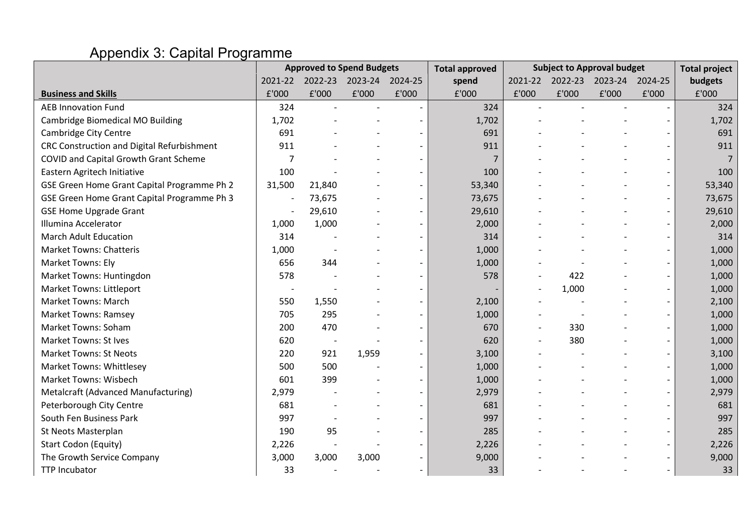# Appendix 3: Capital Programme

|                                             | <b>Approved to Spend Budgets</b> |                          |       |                          | <b>Total approved</b> | <b>Subject to Approval budget</b> |         |         |                          | <b>Total project</b> |
|---------------------------------------------|----------------------------------|--------------------------|-------|--------------------------|-----------------------|-----------------------------------|---------|---------|--------------------------|----------------------|
|                                             | 2021-22                          | 2022-23                  |       | 2023-24 2024-25          | spend                 | 2021-22                           | 2022-23 | 2023-24 | 2024-25                  | budgets              |
| <b>Business and Skills</b>                  | £'000                            | ${\tt f}'000$            | £'000 | £'000                    | £'000                 | £'000                             | £'000   | £'000   | £'000                    | £'000                |
| <b>AEB Innovation Fund</b>                  | 324                              |                          |       |                          | 324                   |                                   |         |         |                          | 324                  |
| Cambridge Biomedical MO Building            | 1,702                            |                          |       |                          | 1,702                 |                                   |         |         |                          | 1,702                |
| Cambridge City Centre                       | 691                              |                          |       |                          | 691                   |                                   |         |         | $\overline{a}$           | 691                  |
| CRC Construction and Digital Refurbishment  | 911                              |                          |       |                          | 911                   |                                   |         |         |                          | 911                  |
| COVID and Capital Growth Grant Scheme       | $\overline{7}$                   |                          |       |                          | $\overline{7}$        |                                   |         |         |                          | $\overline{7}$       |
| Eastern Agritech Initiative                 | 100                              |                          |       |                          | 100                   |                                   |         |         |                          | 100                  |
| GSE Green Home Grant Capital Programme Ph 2 | 31,500                           | 21,840                   |       |                          | 53,340                |                                   |         |         |                          | 53,340               |
| GSE Green Home Grant Capital Programme Ph 3 |                                  | 73,675                   |       |                          | 73,675                |                                   |         |         | $\qquad \qquad -$        | 73,675               |
| <b>GSE Home Upgrade Grant</b>               |                                  | 29,610                   |       |                          | 29,610                |                                   |         |         | $\overline{a}$           | 29,610               |
| Illumina Accelerator                        | 1,000                            | 1,000                    |       |                          | 2,000                 |                                   |         |         |                          | 2,000                |
| <b>March Adult Education</b>                | 314                              |                          |       |                          | 314                   |                                   |         |         |                          | 314                  |
| <b>Market Towns: Chatteris</b>              | 1,000                            |                          |       |                          | 1,000                 |                                   |         |         |                          | 1,000                |
| Market Towns: Ely                           | 656                              | 344                      |       |                          | 1,000                 |                                   |         |         |                          | 1,000                |
| Market Towns: Huntingdon                    | 578                              |                          |       |                          | 578                   |                                   | 422     |         | $\overline{\phantom{a}}$ | 1,000                |
| <b>Market Towns: Littleport</b>             |                                  |                          |       |                          |                       |                                   | 1,000   |         | $\blacksquare$           | 1,000                |
| <b>Market Towns: March</b>                  | 550                              | 1,550                    |       |                          | 2,100                 |                                   |         |         | $\overline{\phantom{a}}$ | 2,100                |
| <b>Market Towns: Ramsey</b>                 | 705                              | 295                      |       |                          | 1,000                 |                                   |         |         | $\overline{\phantom{m}}$ | 1,000                |
| Market Towns: Soham                         | 200                              | 470                      |       |                          | 670                   |                                   | 330     |         |                          | 1,000                |
| <b>Market Towns: St Ives</b>                | 620                              | $\overline{\phantom{a}}$ |       |                          | 620                   |                                   | 380     |         | $\overline{\phantom{a}}$ | 1,000                |
| <b>Market Towns: St Neots</b>               | 220                              | 921                      | 1,959 |                          | 3,100                 |                                   |         |         | $\overline{\phantom{a}}$ | 3,100                |
| <b>Market Towns: Whittlesey</b>             | 500                              | 500                      |       |                          | 1,000                 |                                   |         |         |                          | 1,000                |
| <b>Market Towns: Wisbech</b>                | 601                              | 399                      |       | $\overline{\phantom{0}}$ | 1,000                 |                                   |         |         | $\overline{\phantom{a}}$ | 1,000                |
| Metalcraft (Advanced Manufacturing)         | 2,979                            |                          |       |                          | 2,979                 |                                   |         |         | $\overline{\phantom{a}}$ | 2,979                |
| Peterborough City Centre                    | 681                              |                          |       |                          | 681                   |                                   |         |         |                          | 681                  |
| South Fen Business Park                     | 997                              |                          |       |                          | 997                   |                                   |         |         | $\overline{\phantom{0}}$ | 997                  |
| St Neots Masterplan                         | 190                              | 95                       |       |                          | 285                   |                                   |         |         | $\overline{\phantom{a}}$ | 285                  |
| Start Codon (Equity)                        | 2,226                            |                          |       |                          | 2,226                 |                                   |         |         | $\overline{\phantom{a}}$ | 2,226                |
| The Growth Service Company                  | 3,000                            | 3,000                    | 3,000 |                          | 9,000                 |                                   |         |         | $\overline{\phantom{a}}$ | 9,000                |
| <b>TTP Incubator</b>                        | 33                               |                          |       |                          | 33                    |                                   |         |         | $\overline{\phantom{a}}$ | 33                   |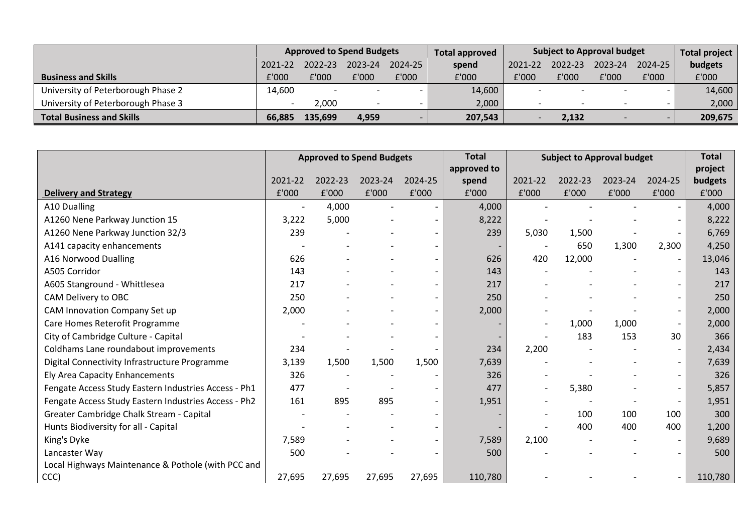|                                    | <b>Approved to Spend Budgets</b> |         |                          |             | <b>Total approved</b> | <b>Subject to Approval budget</b> |         |         |                | Total project |
|------------------------------------|----------------------------------|---------|--------------------------|-------------|-----------------------|-----------------------------------|---------|---------|----------------|---------------|
|                                    | 2021-22                          | 2022-23 | 2023-24                  | $2024 - 25$ | spend                 | 2021-22                           | 2022-23 | 2023-24 | 2024-25        | budgets       |
| <b>Business and Skills</b>         | f'000                            | £'000   | £'000                    | £'000       | £'000                 | £'000                             | £'000   | £'000   | £'000          | £'000         |
| University of Peterborough Phase 2 | 14,600                           |         |                          |             | 14,600                |                                   |         |         |                | 14,600        |
| University of Peterborough Phase 3 |                                  | 2,000   | $\overline{\phantom{a}}$ |             | 2,000                 |                                   |         |         |                | 2,000         |
| <b>Total Business and Skills</b>   | 66.885                           | 135,699 | 4,959                    |             | 207,543               |                                   | 2.132   |         | <b>Service</b> | 209,675       |

|                                                      | <b>Approved to Spend Budgets</b> |         |         |         | <b>Total</b> |         | <b>Subject to Approval budget</b> |         |                          |         |
|------------------------------------------------------|----------------------------------|---------|---------|---------|--------------|---------|-----------------------------------|---------|--------------------------|---------|
|                                                      |                                  |         |         |         | approved to  |         |                                   |         |                          | project |
|                                                      | 2021-22                          | 2022-23 | 2023-24 | 2024-25 | spend        | 2021-22 | 2022-23                           | 2023-24 | 2024-25                  | budgets |
| <b>Delivery and Strategy</b>                         | £'000                            | £'000   | £'000   | £'000   | £'000        | £'000   | £'000                             | £'000   | £'000                    | £'000   |
| A10 Dualling                                         |                                  | 4,000   |         |         | 4,000        |         |                                   |         |                          | 4,000   |
| A1260 Nene Parkway Junction 15                       | 3,222                            | 5,000   |         |         | 8,222        |         |                                   |         |                          | 8,222   |
| A1260 Nene Parkway Junction 32/3                     | 239                              |         |         |         | 239          | 5,030   | 1,500                             |         |                          | 6,769   |
| A141 capacity enhancements                           |                                  |         |         |         |              |         | 650                               | 1,300   | 2,300                    | 4,250   |
| A16 Norwood Dualling                                 | 626                              |         |         |         | 626          | 420     | 12,000                            |         | $\overline{\phantom{a}}$ | 13,046  |
| A505 Corridor                                        | 143                              |         |         |         | 143          |         |                                   |         |                          | 143     |
| A605 Stanground - Whittlesea                         | 217                              |         |         |         | 217          |         |                                   |         |                          | 217     |
| CAM Delivery to OBC                                  | 250                              |         |         |         | 250          |         |                                   |         |                          | 250     |
| CAM Innovation Company Set up                        | 2,000                            |         |         |         | 2,000        |         |                                   |         | $\overline{\phantom{a}}$ | 2,000   |
| Care Homes Reterofit Programme                       |                                  |         |         |         |              |         | 1,000                             | 1,000   | $\overline{\phantom{a}}$ | 2,000   |
| City of Cambridge Culture - Capital                  |                                  |         |         |         |              |         | 183                               | 153     | 30                       | 366     |
| Coldhams Lane roundabout improvements                | 234                              |         |         |         | 234          | 2,200   |                                   |         | $\overline{\phantom{a}}$ | 2,434   |
| Digital Connectivity Infrastructure Programme        | 3,139                            | 1,500   | 1,500   | 1,500   | 7,639        |         |                                   |         |                          | 7,639   |
| Ely Area Capacity Enhancements                       | 326                              |         |         |         | 326          |         |                                   |         | $\overline{\phantom{a}}$ | 326     |
| Fengate Access Study Eastern Industries Access - Ph1 | 477                              |         |         |         | 477          |         | 5,380                             |         | $\overline{\phantom{a}}$ | 5,857   |
| Fengate Access Study Eastern Industries Access - Ph2 | 161                              | 895     | 895     |         | 1,951        |         |                                   |         | $\overline{\phantom{a}}$ | 1,951   |
| Greater Cambridge Chalk Stream - Capital             |                                  |         |         |         |              |         | 100                               | 100     | 100                      | 300     |
| Hunts Biodiversity for all - Capital                 |                                  |         |         |         |              |         | 400                               | 400     | 400                      | 1,200   |
| King's Dyke                                          | 7,589                            |         |         |         | 7,589        | 2,100   |                                   |         |                          | 9,689   |
| Lancaster Way                                        | 500                              |         |         |         | 500          |         |                                   |         |                          | 500     |
| Local Highways Maintenance & Pothole (with PCC and   |                                  |         |         |         |              |         |                                   |         |                          |         |
| CCC)                                                 | 27,695                           | 27,695  | 27,695  | 27,695  | 110,780      |         |                                   |         |                          | 110,780 |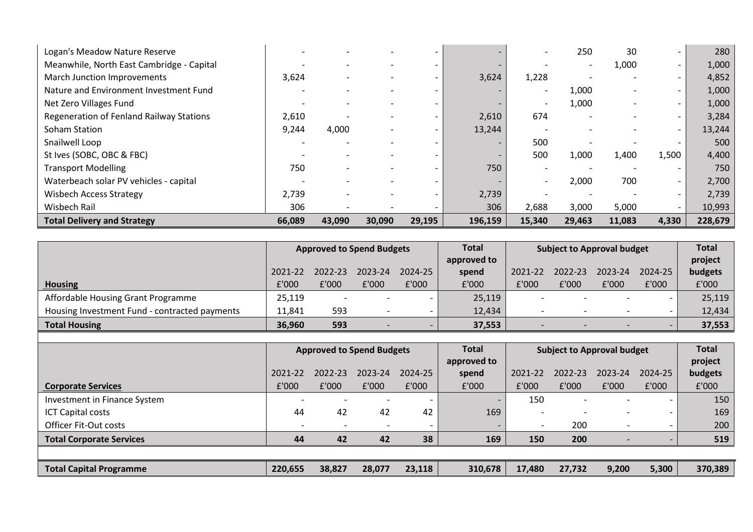| Logan's Meadow Nature Reserve             |        |        |        |        |         |                          | 250                      | 30     |                          | 280     |
|-------------------------------------------|--------|--------|--------|--------|---------|--------------------------|--------------------------|--------|--------------------------|---------|
| Meanwhile, North East Cambridge - Capital |        |        |        |        |         |                          | $\overline{\phantom{0}}$ | 1,000  |                          | 1,000   |
| March Junction Improvements               | 3,624  |        |        |        | 3,624   | 1,228                    |                          |        |                          | 4,852   |
| Nature and Environment Investment Fund    |        |        |        |        |         | $\overline{\phantom{a}}$ | 1,000                    |        | $\overline{\phantom{0}}$ | 1,000   |
| Net Zero Villages Fund                    |        |        |        |        |         | $\overline{\phantom{a}}$ | 1,000                    |        |                          | 1,000   |
| Regeneration of Fenland Railway Stations  | 2,610  |        |        |        | 2,610   | 674                      |                          |        |                          | 3,284   |
| Soham Station                             | 9,244  | 4,000  |        |        | 13,244  |                          |                          |        |                          | 13,244  |
| Snailwell Loop                            |        |        |        |        |         | 500                      |                          |        |                          | 500     |
| St Ives (SOBC, OBC & FBC)                 |        |        |        |        |         | 500                      | 1,000                    | 1,400  | 1,500                    | 4,400   |
| <b>Transport Modelling</b>                | 750    |        |        |        | 750     |                          | $\overline{\phantom{0}}$ |        |                          | 750     |
| Waterbeach solar PV vehicles - capital    |        |        |        |        |         | $\overline{\phantom{0}}$ | 2,000                    | 700    | $\overline{\phantom{0}}$ | 2,700   |
| <b>Wisbech Access Strategy</b>            | 2,739  |        |        |        | 2,739   |                          |                          |        |                          | 2,739   |
| Wisbech Rail                              | 306    |        |        |        | 306     | 2,688                    | 3,000                    | 5,000  |                          | 10,993  |
| <b>Total Delivery and Strategy</b>        | 66,089 | 43,090 | 30,090 | 29,195 | 196,159 | 15,340                   | 29,463                   | 11,083 | 4,330                    | 228,679 |

|                                               | <b>Approved to Spend Budgets</b> |         |                          | <b>Total</b>             | Subject to Approval budget |         |         | <b>Total</b>             |         |         |
|-----------------------------------------------|----------------------------------|---------|--------------------------|--------------------------|----------------------------|---------|---------|--------------------------|---------|---------|
|                                               |                                  |         |                          |                          | approved to                |         |         |                          |         | project |
|                                               | 2021-22                          | 2022-23 | 2023-24                  | 2024-25                  | spend                      | 2021-22 | 2022-23 | 2023-24                  | 2024-25 | budgets |
| <b>Housing</b>                                | £'000                            | £'000   | £'000                    | £'000                    | £'000                      | £'000   | £'000   | £'000                    | £'000   | £'000   |
| Affordable Housing Grant Programme            | 25,119                           |         | $\overline{\phantom{0}}$ | $\sim$                   | 25,119                     |         |         | $\overline{\phantom{0}}$ |         | 25,119  |
| Housing Investment Fund - contracted payments | 11.841                           | 593     |                          | $\overline{\phantom{0}}$ | 12,434                     |         |         | $\overline{\phantom{0}}$ |         | 12,434  |
| <b>Total Housing</b>                          | 36,960                           | 593     |                          |                          | 37,553                     |         |         |                          |         | 37,553  |

|                                 | <b>Approved to Spend Budgets</b> |         |                          | <b>Total</b> | <b>Subject to Approval budget</b> |         |                          | <b>Total</b>             |                          |         |
|---------------------------------|----------------------------------|---------|--------------------------|--------------|-----------------------------------|---------|--------------------------|--------------------------|--------------------------|---------|
|                                 |                                  |         |                          |              | approved to                       |         |                          |                          |                          | project |
|                                 | 2021-22                          | 2022-23 | 2023-24                  | 2024-25      | spend                             | 2021-22 | 2022-23                  | 2023-24                  | 2024-25                  | budgets |
| <b>Corporate Services</b>       | £'000                            | £'000   | £'000                    | £'000        | £'000                             | £'000   | £'000                    | £'000                    | £'000                    | £'000   |
| Investment in Finance System    |                                  |         | $\overline{\phantom{a}}$ |              |                                   | 150     | $\overline{\phantom{0}}$ |                          | $\overline{\phantom{0}}$ | 150     |
| <b>ICT Capital costs</b>        | 44                               | 42      | 42                       | 42           | 169                               |         | $\overline{\phantom{0}}$ |                          | $\overline{\phantom{0}}$ | 169     |
| <b>Officer Fit-Out costs</b>    | $\overline{\phantom{0}}$         |         |                          |              |                                   |         | 200                      |                          | $\overline{\phantom{0}}$ | 200     |
| <b>Total Corporate Services</b> | 44                               | 42      | 42                       | 38           | 169                               | 150     | 200                      | $\overline{\phantom{0}}$ |                          | 519     |
|                                 |                                  |         |                          |              |                                   |         |                          |                          |                          |         |
| <b>Total Capital Programme</b>  | 220,655                          | 38,827  | 28,077                   | 23,118       | 310,678                           | 17,480  | 27,732                   | 9,200                    | 5,300                    | 370,389 |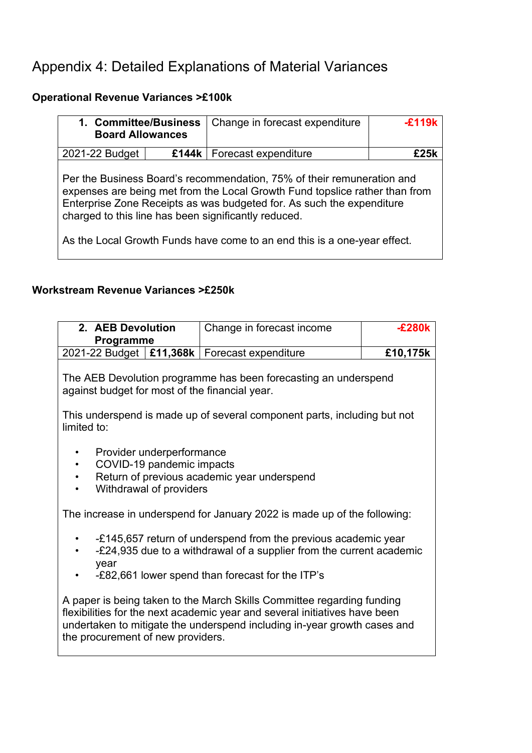## Appendix 4: Detailed Explanations of Material Variances

## **Operational Revenue Variances >£100k**

| 1. Committee/Business<br><b>Board Allowances</b> |  | Change in forecast expenditure                                                                                                                                                                                                                                                                                                                                     | $-F119k$ |
|--------------------------------------------------|--|--------------------------------------------------------------------------------------------------------------------------------------------------------------------------------------------------------------------------------------------------------------------------------------------------------------------------------------------------------------------|----------|
| 2021-22 Budget                                   |  | £144k   Forecast expenditure                                                                                                                                                                                                                                                                                                                                       | f 25k    |
|                                                  |  | Per the Business Board's recommendation, 75% of their remuneration and<br>expenses are being met from the Local Growth Fund topslice rather than from<br>Enterprise Zone Receipts as was budgeted for. As such the expenditure<br>charged to this line has been significantly reduced.<br>As the Local Growth Funds have come to an end this is a one-year effect. |          |

### **Workstream Revenue Variances >£250k**

| 2. AEB Devolution                                                                                                                                                                                                                                                                                                         | Change in forecast income                                                | $-E280k$ |  |  |  |  |
|---------------------------------------------------------------------------------------------------------------------------------------------------------------------------------------------------------------------------------------------------------------------------------------------------------------------------|--------------------------------------------------------------------------|----------|--|--|--|--|
| <b>Programme</b>                                                                                                                                                                                                                                                                                                          |                                                                          |          |  |  |  |  |
| 2021-22 Budget   £11,368k   Forecast expenditure                                                                                                                                                                                                                                                                          |                                                                          | £10,175k |  |  |  |  |
| The AEB Devolution programme has been forecasting an underspend<br>against budget for most of the financial year.                                                                                                                                                                                                         |                                                                          |          |  |  |  |  |
| limited to:                                                                                                                                                                                                                                                                                                               | This underspend is made up of several component parts, including but not |          |  |  |  |  |
| Provider underperformance<br>COVID-19 pandemic impacts<br>$\bullet$<br>Return of previous academic year underspend<br>$\bullet$<br>Withdrawal of providers                                                                                                                                                                |                                                                          |          |  |  |  |  |
|                                                                                                                                                                                                                                                                                                                           | The increase in underspend for January 2022 is made up of the following: |          |  |  |  |  |
| -£145,657 return of underspend from the previous academic year<br>٠<br>-£24,935 due to a withdrawal of a supplier from the current academic<br>year                                                                                                                                                                       |                                                                          |          |  |  |  |  |
| -£82,661 lower spend than forecast for the ITP's<br>A paper is being taken to the March Skills Committee regarding funding<br>flexibilities for the next academic year and several initiatives have been<br>undertaken to mitigate the underspend including in-year growth cases and<br>the procurement of new providers. |                                                                          |          |  |  |  |  |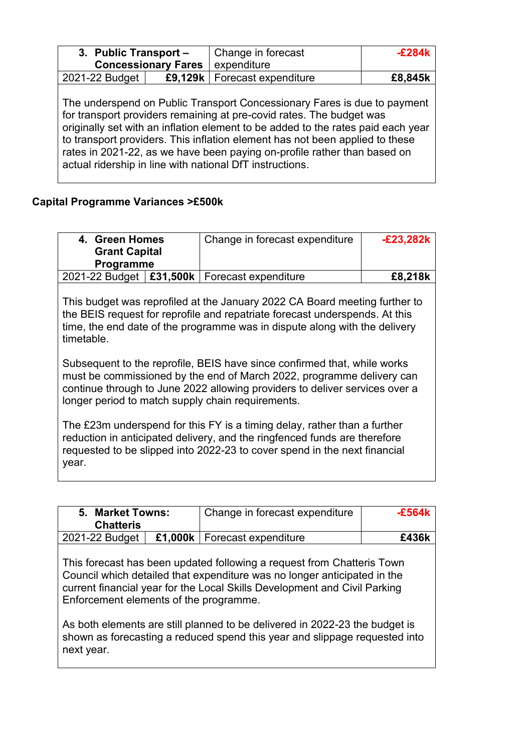| 3. Public Transport - |                            | Change in forecast                                                                                                                                                                                                                                                                                                                                                                                                                                           | -F284k  |
|-----------------------|----------------------------|--------------------------------------------------------------------------------------------------------------------------------------------------------------------------------------------------------------------------------------------------------------------------------------------------------------------------------------------------------------------------------------------------------------------------------------------------------------|---------|
|                       | <b>Concessionary Fares</b> | expenditure                                                                                                                                                                                                                                                                                                                                                                                                                                                  |         |
| 2021-22 Budget        | £9,129k                    | Forecast expenditure                                                                                                                                                                                                                                                                                                                                                                                                                                         | £8,845k |
|                       |                            | The underspend on Public Transport Concessionary Fares is due to payment<br>for transport providers remaining at pre-covid rates. The budget was<br>originally set with an inflation element to be added to the rates paid each year<br>to transport providers. This inflation element has not been applied to these<br>rates in 2021-22, as we have been paying on-profile rather than based on<br>actual ridership in line with national DfT instructions. |         |

## **Capital Programme Variances >£500k**

| 4. Green Homes<br><b>Grant Capital</b><br><b>Programme</b>                                                                                                                                                                                                                            | Change in forecast expenditure                                                                                                                                                                                                          | <b>E23,282k</b> |  |  |  |
|---------------------------------------------------------------------------------------------------------------------------------------------------------------------------------------------------------------------------------------------------------------------------------------|-----------------------------------------------------------------------------------------------------------------------------------------------------------------------------------------------------------------------------------------|-----------------|--|--|--|
| £31,500k<br>2021-22 Budget                                                                                                                                                                                                                                                            | Forecast expenditure                                                                                                                                                                                                                    | £8,218k         |  |  |  |
| timetable.                                                                                                                                                                                                                                                                            | This budget was reprofiled at the January 2022 CA Board meeting further to<br>the BEIS request for reprofile and repatriate forecast underspends. At this<br>time, the end date of the programme was in dispute along with the delivery |                 |  |  |  |
| Subsequent to the reprofile, BEIS have since confirmed that, while works<br>must be commissioned by the end of March 2022, programme delivery can<br>continue through to June 2022 allowing providers to deliver services over a<br>longer period to match supply chain requirements. |                                                                                                                                                                                                                                         |                 |  |  |  |
| year.                                                                                                                                                                                                                                                                                 | The £23m underspend for this FY is a timing delay, rather than a further<br>reduction in anticipated delivery, and the ringfenced funds are therefore<br>requested to be slipped into 2022-23 to cover spend in the next financial      |                 |  |  |  |

| 5. Market Towns:<br><b>Chatteris</b>                 | Change in forecast expenditure                                                                                                                                                                                                                                                                                                                                                               | $-E564k$ |
|------------------------------------------------------|----------------------------------------------------------------------------------------------------------------------------------------------------------------------------------------------------------------------------------------------------------------------------------------------------------------------------------------------------------------------------------------------|----------|
| 2021-22 Budget                                       | £1,000k   Forecast expenditure                                                                                                                                                                                                                                                                                                                                                               | £436k    |
| Enforcement elements of the programme.<br>next year. | This forecast has been updated following a request from Chatteris Town<br>Council which detailed that expenditure was no longer anticipated in the<br>current financial year for the Local Skills Development and Civil Parking<br>As both elements are still planned to be delivered in 2022-23 the budget is<br>shown as forecasting a reduced spend this year and slippage requested into |          |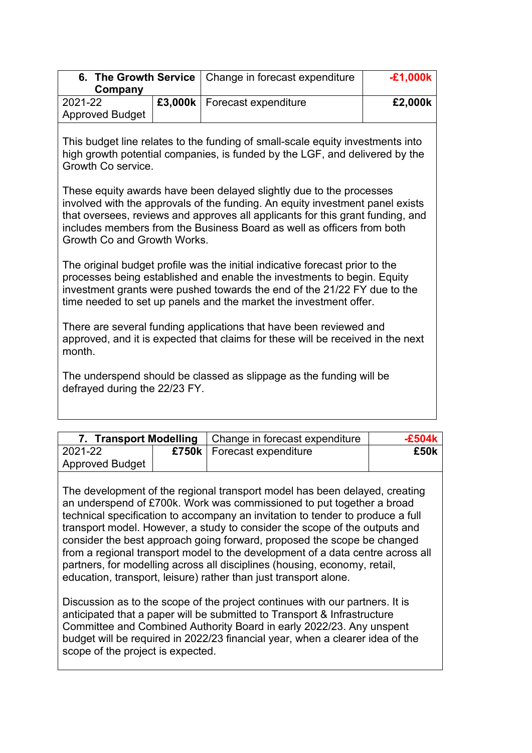|                        | 6. The Growth Service   Change in forecast expenditure | <b>-£1,000k</b> |
|------------------------|--------------------------------------------------------|-----------------|
| Company                |                                                        |                 |
| 2021-22                | £3,000k   Forecast expenditure                         | £2,000k         |
| <b>Approved Budget</b> |                                                        |                 |

This budget line relates to the funding of small-scale equity investments into high growth potential companies, is funded by the LGF, and delivered by the Growth Co service.

These equity awards have been delayed slightly due to the processes involved with the approvals of the funding. An equity investment panel exists that oversees, reviews and approves all applicants for this grant funding, and includes members from the Business Board as well as officers from both Growth Co and Growth Works.

The original budget profile was the initial indicative forecast prior to the processes being established and enable the investments to begin. Equity investment grants were pushed towards the end of the 21/22 FY due to the time needed to set up panels and the market the investment offer.

There are several funding applications that have been reviewed and approved, and it is expected that claims for these will be received in the next month.

The underspend should be classed as slippage as the funding will be defrayed during the 22/23 FY.

|                        | 7. Transport Modelling   Change in forecast expenditure | -£504k |
|------------------------|---------------------------------------------------------|--------|
| 2021-22                | £750k   Forecast expenditure                            | £50k   |
| <b>Approved Budget</b> |                                                         |        |

The development of the regional transport model has been delayed, creating an underspend of £700k. Work was commissioned to put together a broad technical specification to accompany an invitation to tender to produce a full transport model. However, a study to consider the scope of the outputs and consider the best approach going forward, proposed the scope be changed from a regional transport model to the development of a data centre across all partners, for modelling across all disciplines (housing, economy, retail, education, transport, leisure) rather than just transport alone.

Discussion as to the scope of the project continues with our partners. It is anticipated that a paper will be submitted to Transport & Infrastructure Committee and Combined Authority Board in early 2022/23. Any unspent budget will be required in 2022/23 financial year, when a clearer idea of the scope of the project is expected.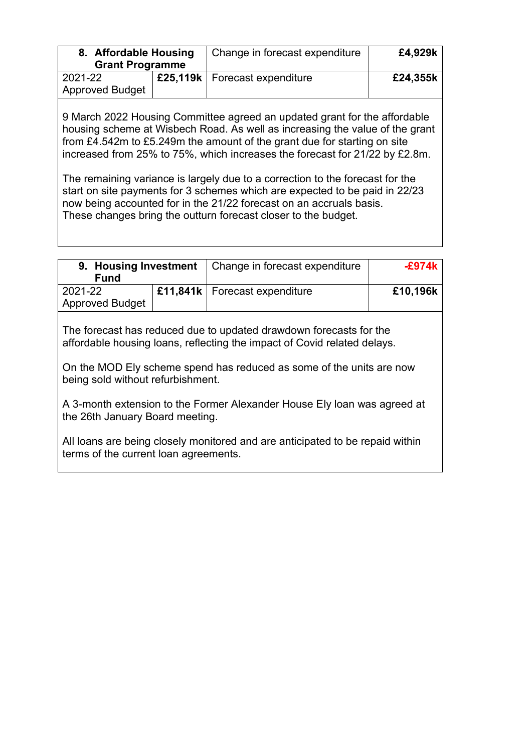| 8. Affordable Housing  | Change in forecast expenditure  | £4,929k  |
|------------------------|---------------------------------|----------|
| <b>Grant Programme</b> |                                 |          |
| 2021-22                | £25,119k   Forecast expenditure | £24,355k |
| <b>Approved Budget</b> |                                 |          |

9 March 2022 Housing Committee agreed an updated grant for the affordable housing scheme at Wisbech Road. As well as increasing the value of the grant from £4.542m to £5.249m the amount of the grant due for starting on site increased from 25% to 75%, which increases the forecast for 21/22 by £2.8m.

The remaining variance is largely due to a correction to the forecast for the start on site payments for 3 schemes which are expected to be paid in 22/23 now being accounted for in the 21/22 forecast on an accruals basis. These changes bring the outturn forecast closer to the budget.

| 9. Housing Investment                                                                                                                                                                                                                                       |  | Change in forecast expenditure  | $-$ £974k |
|-------------------------------------------------------------------------------------------------------------------------------------------------------------------------------------------------------------------------------------------------------------|--|---------------------------------|-----------|
| <b>Fund</b>                                                                                                                                                                                                                                                 |  |                                 |           |
| 2021-22                                                                                                                                                                                                                                                     |  | £11,841k   Forecast expenditure | £10,196k  |
| <b>Approved Budget</b>                                                                                                                                                                                                                                      |  |                                 |           |
| The forecast has reduced due to updated drawdown forecasts for the<br>affordable housing loans, reflecting the impact of Covid related delays.<br>On the MOD Ely scheme spend has reduced as some of the units are now<br>being sold without refurbishment. |  |                                 |           |

A 3-month extension to the Former Alexander House Ely loan was agreed at the 26th January Board meeting.

All loans are being closely monitored and are anticipated to be repaid within terms of the current loan agreements.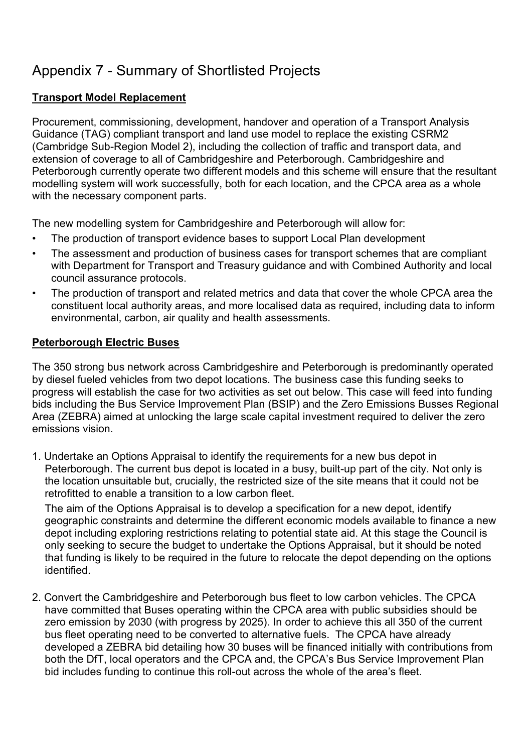## Appendix 7 - Summary of Shortlisted Projects

### **Transport Model Replacement**

Procurement, commissioning, development, handover and operation of a Transport Analysis Guidance (TAG) compliant transport and land use model to replace the existing CSRM2 (Cambridge Sub-Region Model 2), including the collection of traffic and transport data, and extension of coverage to all of Cambridgeshire and Peterborough. Cambridgeshire and Peterborough currently operate two different models and this scheme will ensure that the resultant modelling system will work successfully, both for each location, and the CPCA area as a whole with the necessary component parts.

The new modelling system for Cambridgeshire and Peterborough will allow for:

- The production of transport evidence bases to support Local Plan development
- The assessment and production of business cases for transport schemes that are compliant with Department for Transport and Treasury guidance and with Combined Authority and local council assurance protocols.
- The production of transport and related metrics and data that cover the whole CPCA area the constituent local authority areas, and more localised data as required, including data to inform environmental, carbon, air quality and health assessments.

### **Peterborough Electric Buses**

The 350 strong bus network across Cambridgeshire and Peterborough is predominantly operated by diesel fueled vehicles from two depot locations. The business case this funding seeks to progress will establish the case for two activities as set out below. This case will feed into funding bids including the Bus Service Improvement Plan (BSIP) and the Zero Emissions Busses Regional Area (ZEBRA) aimed at unlocking the large scale capital investment required to deliver the zero emissions vision.

1. Undertake an Options Appraisal to identify the requirements for a new bus depot in Peterborough. The current bus depot is located in a busy, built-up part of the city. Not only is the location unsuitable but, crucially, the restricted size of the site means that it could not be retrofitted to enable a transition to a low carbon fleet.

The aim of the Options Appraisal is to develop a specification for a new depot, identify geographic constraints and determine the different economic models available to finance a new depot including exploring restrictions relating to potential state aid. At this stage the Council is only seeking to secure the budget to undertake the Options Appraisal, but it should be noted that funding is likely to be required in the future to relocate the depot depending on the options identified.

2. Convert the Cambridgeshire and Peterborough bus fleet to low carbon vehicles. The CPCA have committed that Buses operating within the CPCA area with public subsidies should be zero emission by 2030 (with progress by 2025). In order to achieve this all 350 of the current bus fleet operating need to be converted to alternative fuels. The CPCA have already developed a ZEBRA bid detailing how 30 buses will be financed initially with contributions from both the DfT, local operators and the CPCA and, the CPCA's Bus Service Improvement Plan bid includes funding to continue this roll-out across the whole of the area's fleet.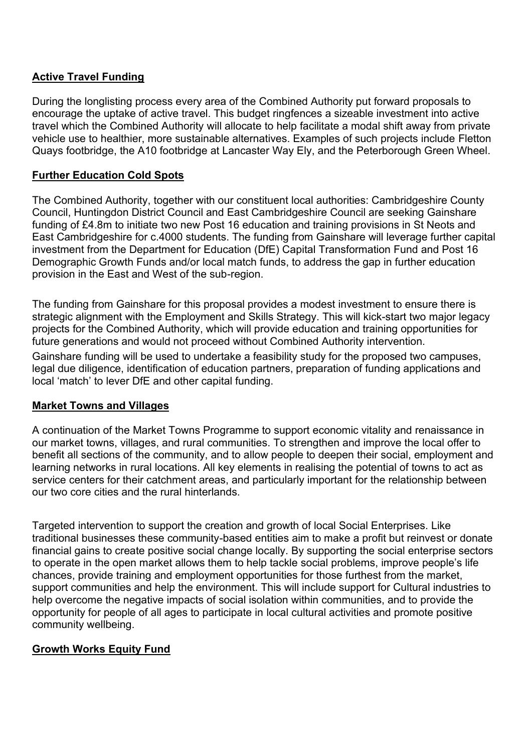### **Active Travel Funding**

During the longlisting process every area of the Combined Authority put forward proposals to encourage the uptake of active travel. This budget ringfences a sizeable investment into active travel which the Combined Authority will allocate to help facilitate a modal shift away from private vehicle use to healthier, more sustainable alternatives. Examples of such projects include Fletton Quays footbridge, the A10 footbridge at Lancaster Way Ely, and the Peterborough Green Wheel.

### **Further Education Cold Spots**

The Combined Authority, together with our constituent local authorities: Cambridgeshire County Council, Huntingdon District Council and East Cambridgeshire Council are seeking Gainshare funding of £4.8m to initiate two new Post 16 education and training provisions in St Neots and East Cambridgeshire for c.4000 students. The funding from Gainshare will leverage further capital investment from the Department for Education (DfE) Capital Transformation Fund and Post 16 Demographic Growth Funds and/or local match funds, to address the gap in further education provision in the East and West of the sub-region.

The funding from Gainshare for this proposal provides a modest investment to ensure there is strategic alignment with the Employment and Skills Strategy. This will kick-start two major legacy projects for the Combined Authority, which will provide education and training opportunities for future generations and would not proceed without Combined Authority intervention.

Gainshare funding will be used to undertake a feasibility study for the proposed two campuses, legal due diligence, identification of education partners, preparation of funding applications and local 'match' to lever DfE and other capital funding.

### **Market Towns and Villages**

A continuation of the Market Towns Programme to support economic vitality and renaissance in our market towns, villages, and rural communities. To strengthen and improve the local offer to benefit all sections of the community, and to allow people to deepen their social, employment and learning networks in rural locations. All key elements in realising the potential of towns to act as service centers for their catchment areas, and particularly important for the relationship between our two core cities and the rural hinterlands.

Targeted intervention to support the creation and growth of local Social Enterprises. Like traditional businesses these community-based entities aim to make a profit but reinvest or donate financial gains to create positive social change locally. By supporting the social enterprise sectors to operate in the open market allows them to help tackle social problems, improve people's life chances, provide training and employment opportunities for those furthest from the market, support communities and help the environment. This will include support for Cultural industries to help overcome the negative impacts of social isolation within communities, and to provide the opportunity for people of all ages to participate in local cultural activities and promote positive community wellbeing.

### **Growth Works Equity Fund**